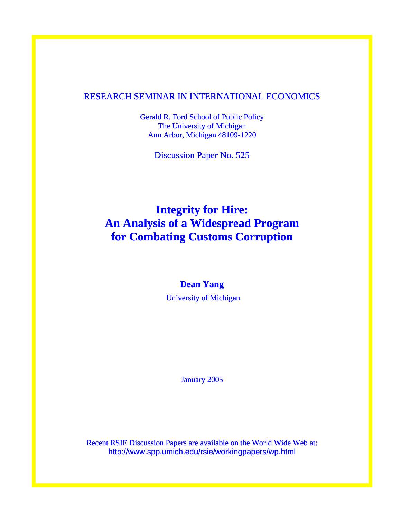# RESEARCH SEMINAR IN INTERNATIONAL ECONOMICS

Gerald R. Ford School of Public Policy The University of Michigan Ann Arbor, Michigan 48109-1220

Discussion Paper No. 525

# **Integrity for Hire: An Analysis of a Widespread Program for Combating Customs Corruption**

## **Dean Yang**

University of Michigan

January 2005

Recent RSIE Discussion Papers are available on the World Wide Web at: http://www.spp.umich.edu/rsie/workingpapers/wp.html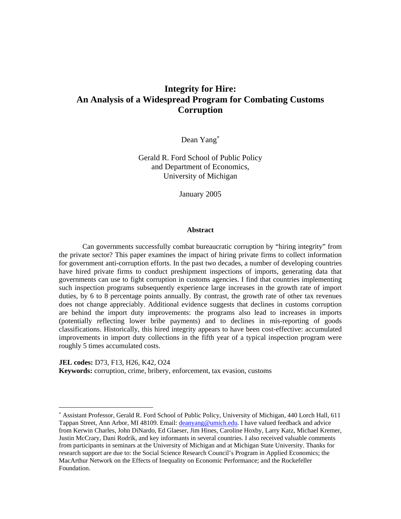# **Integrity for Hire: An Analysis of a Widespread Program for Combating Customs Corruption**

Dean Yang[∗](#page-1-0)

Gerald R. Ford School of Public Policy and Department of Economics, University of Michigan

January 2005

#### **Abstract**

Can governments successfully combat bureaucratic corruption by "hiring integrity" from the private sector? This paper examines the impact of hiring private firms to collect information for government anti-corruption efforts. In the past two decades, a number of developing countries have hired private firms to conduct preshipment inspections of imports, generating data that governments can use to fight corruption in customs agencies. I find that countries implementing such inspection programs subsequently experience large increases in the growth rate of import duties, by 6 to 8 percentage points annually. By contrast, the growth rate of other tax revenues does not change appreciably. Additional evidence suggests that declines in customs corruption are behind the import duty improvements: the programs also lead to increases in imports (potentially reflecting lower bribe payments) and to declines in mis-reporting of goods classifications. Historically, this hired integrity appears to have been cost-effective: accumulated improvements in import duty collections in the fifth year of a typical inspection program were roughly 5 times accumulated costs.

**JEL codes:** D73, F13, H26, K42, O24

 $\overline{a}$ 

**Keywords:** corruption, crime, bribery, enforcement, tax evasion, customs

<span id="page-1-0"></span><sup>∗</sup> Assistant Professor, Gerald R. Ford School of Public Policy, University of Michigan, 440 Lorch Hall, 611 Tappan Street, Ann Arbor, MI 48109. Email: deanyang@umich.edu. I have valued feedback and advice from Kerwin Charles, John DiNardo, Ed Glaeser, Jim Hines, Caroline Hoxby, Larry Katz, Michael Kremer, Justin McCrary, Dani Rodrik, and key informants in several countries. I also received valuable comments from participants in seminars at the University of Michigan and at Michigan State University. Thanks for research support are due to: the Social Science Research Council's Program in Applied Economics; the MacArthur Network on the Effects of Inequality on Economic Performance; and the Rockefeller Foundation.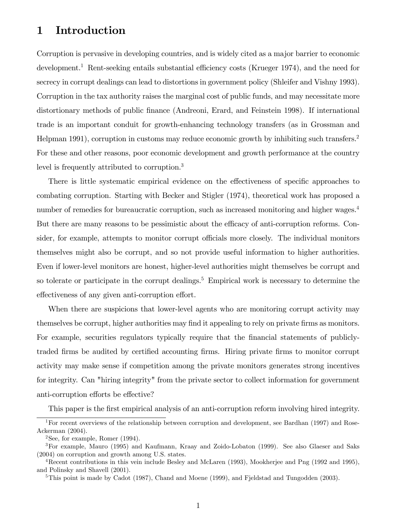# 1 Introduction

Corruption is pervasive in developing countries, and is widely cited as a major barrier to economic development.<sup>1</sup> Rent-seeking entails substantial efficiency costs (Krueger 1974), and the need for secrecy in corrupt dealings can lead to distortions in government policy (Shleifer and Vishny 1993). Corruption in the tax authority raises the marginal cost of public funds, and may necessitate more distortionary methods of public Önance (Andreoni, Erard, and Feinstein 1998). If international trade is an important conduit for growth-enhancing technology transfers (as in Grossman and Helpman 1991), corruption in customs may reduce economic growth by inhibiting such transfers.<sup>2</sup> For these and other reasons, poor economic development and growth performance at the country level is frequently attributed to corruption.<sup>3</sup>

There is little systematic empirical evidence on the effectiveness of specific approaches to combating corruption. Starting with Becker and Stigler (1974), theoretical work has proposed a number of remedies for bureaucratic corruption, such as increased monitoring and higher wages.<sup>4</sup> But there are many reasons to be pessimistic about the efficacy of anti-corruption reforms. Consider, for example, attempts to monitor corrupt officials more closely. The individual monitors themselves might also be corrupt, and so not provide useful information to higher authorities. Even if lower-level monitors are honest, higher-level authorities might themselves be corrupt and so tolerate or participate in the corrupt dealings.<sup>5</sup> Empirical work is necessary to determine the effectiveness of any given anti-corruption effort.

When there are suspicions that lower-level agents who are monitoring corrupt activity may themselves be corrupt, higher authorities may find it appealing to rely on private firms as monitors. For example, securities regulators typically require that the financial statements of publiclytraded firms be audited by certified accounting firms. Hiring private firms to monitor corrupt activity may make sense if competition among the private monitors generates strong incentives for integrity. Can "hiring integrity" from the private sector to collect information for government anti-corruption efforts be effective?

This paper is the Örst empirical analysis of an anti-corruption reform involving hired integrity.

<sup>&</sup>lt;sup>1</sup>For recent overviews of the relationship between corruption and development, see Bardhan (1997) and Rose-Ackerman (2004).

 $2$ See, for example, Romer (1994).

<sup>3</sup>For example, Mauro (1995) and Kaufmann, Kraay and Zoido-Lobaton (1999). See also Glaeser and Saks (2004) on corruption and growth among U.S. states.

<sup>4</sup>Recent contributions in this vein include Besley and McLaren (1993), Mookherjee and Png (1992 and 1995), and Polinsky and Shavell (2001).

<sup>&</sup>lt;sup>5</sup>This point is made by Cadot (1987), Chand and Moene (1999), and Fjeldstad and Tungodden (2003).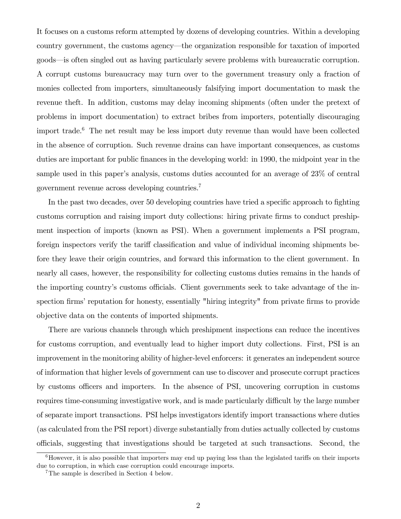It focuses on a customs reform attempted by dozens of developing countries. Within a developing country government, the customs agency—the organization responsible for taxation of imported goods—is often singled out as having particularly severe problems with bureaucratic corruption. A corrupt customs bureaucracy may turn over to the government treasury only a fraction of monies collected from importers, simultaneously falsifying import documentation to mask the revenue theft. In addition, customs may delay incoming shipments (often under the pretext of problems in import documentation) to extract bribes from importers, potentially discouraging import trade.<sup>6</sup> The net result may be less import duty revenue than would have been collected in the absence of corruption. Such revenue drains can have important consequences, as customs duties are important for public finances in the developing world: in 1990, the midpoint year in the sample used in this paper's analysis, customs duties accounted for an average of 23% of central government revenue across developing countries.<sup>7</sup>

In the past two decades, over 50 developing countries have tried a specific approach to fighting customs corruption and raising import duty collections: hiring private firms to conduct preshipment inspection of imports (known as PSI). When a government implements a PSI program, foreign inspectors verify the tariff classification and value of individual incoming shipments before they leave their origin countries, and forward this information to the client government. In nearly all cases, however, the responsibility for collecting customs duties remains in the hands of the importing country's customs officials. Client governments seek to take advantage of the inspection firms' reputation for honesty, essentially "hiring integrity" from private firms to provide objective data on the contents of imported shipments.

There are various channels through which preshipment inspections can reduce the incentives for customs corruption, and eventually lead to higher import duty collections. First, PSI is an improvement in the monitoring ability of higher-level enforcers: it generates an independent source of information that higher levels of government can use to discover and prosecute corrupt practices by customs officers and importers. In the absence of PSI, uncovering corruption in customs requires time-consuming investigative work, and is made particularly difficult by the large number of separate import transactions. PSI helps investigators identify import transactions where duties (as calculated from the PSI report) diverge substantially from duties actually collected by customs o¢ cials, suggesting that investigations should be targeted at such transactions. Second, the

 $6$ However, it is also possible that importers may end up paying less than the legislated tariffs on their imports due to corruption, in which case corruption could encourage imports.

<sup>7</sup>The sample is described in Section 4 below.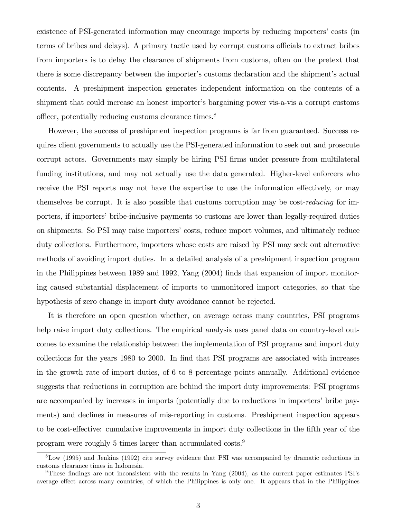existence of PSI-generated information may encourage imports by reducing importers' costs (in terms of bribes and delays). A primary tactic used by corrupt customs officials to extract bribes from importers is to delay the clearance of shipments from customs, often on the pretext that there is some discrepancy between the importer's customs declaration and the shipment's actual contents. A preshipment inspection generates independent information on the contents of a shipment that could increase an honest importerís bargaining power vis-a-vis a corrupt customs officer, potentially reducing customs clearance times. $8$ 

However, the success of preshipment inspection programs is far from guaranteed. Success requires client governments to actually use the PSI-generated information to seek out and prosecute corrupt actors. Governments may simply be hiring PSI firms under pressure from multilateral funding institutions, and may not actually use the data generated. Higher-level enforcers who receive the PSI reports may not have the expertise to use the information effectively, or may themselves be corrupt. It is also possible that customs corruption may be cost-reducing for importers, if importers' bribe-inclusive payments to customs are lower than legally-required duties on shipments. So PSI may raise importers' costs, reduce import volumes, and ultimately reduce duty collections. Furthermore, importers whose costs are raised by PSI may seek out alternative methods of avoiding import duties. In a detailed analysis of a preshipment inspection program in the Philippines between 1989 and 1992, Yang (2004) Önds that expansion of import monitoring caused substantial displacement of imports to unmonitored import categories, so that the hypothesis of zero change in import duty avoidance cannot be rejected.

It is therefore an open question whether, on average across many countries, PSI programs help raise import duty collections. The empirical analysis uses panel data on country-level outcomes to examine the relationship between the implementation of PSI programs and import duty collections for the years 1980 to 2000. In find that PSI programs are associated with increases in the growth rate of import duties, of 6 to 8 percentage points annually. Additional evidence suggests that reductions in corruption are behind the import duty improvements: PSI programs are accompanied by increases in imports (potentially due to reductions in importers' bribe payments) and declines in measures of mis-reporting in customs. Preshipment inspection appears to be cost-effective: cumulative improvements in import duty collections in the fifth year of the program were roughly 5 times larger than accumulated costs.<sup>9</sup>

<sup>8</sup>Low (1995) and Jenkins (1992) cite survey evidence that PSI was accompanied by dramatic reductions in customs clearance times in Indonesia.

<sup>&</sup>lt;sup>9</sup>These findings are not inconsistent with the results in Yang (2004), as the current paper estimates PSI's average effect across many countries, of which the Philippines is only one. It appears that in the Philippines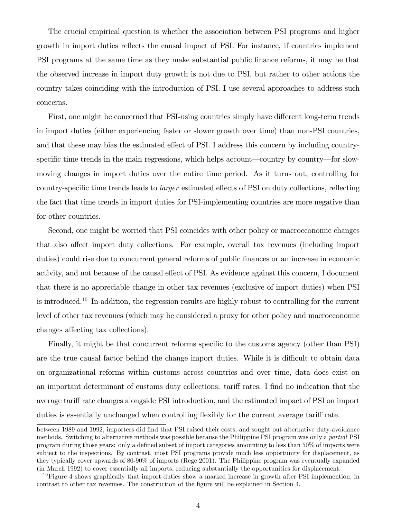The crucial empirical question is whether the association between PSI programs and higher growth in import duties reflects the causal impact of PSI. For instance, if countries implement PSI programs at the same time as they make substantial public Önance reforms, it may be that the observed increase in import duty growth is not due to PSI, but rather to other actions the country takes coinciding with the introduction of PSI. I use several approaches to address such concerns.

First, one might be concerned that PSI-using countries simply have different long-term trends in import duties (either experiencing faster or slower growth over time) than non-PSI countries, and that these may bias the estimated effect of PSI. I address this concern by including countryspecific time trends in the main regressions, which helps account—country by country—for slowmoving changes in import duties over the entire time period. As it turns out, controlling for country-specific time trends leads to *larger* estimated effects of PSI on duty collections, reflecting the fact that time trends in import duties for PSI-implementing countries are more negative than for other countries.

Second, one might be worried that PSI coincides with other policy or macroeconomic changes that also affect import duty collections. For example, overall tax revenues (including import duties) could rise due to concurrent general reforms of public finances or an increase in economic activity, and not because of the causal effect of PSI. As evidence against this concern, I document that there is no appreciable change in other tax revenues (exclusive of import duties) when PSI is introduced.<sup>10</sup> In addition, the regression results are highly robust to controlling for the current level of other tax revenues (which may be considered a proxy for other policy and macroeconomic changes affecting tax collections).

Finally, it might be that concurrent reforms specific to the customs agency (other than PSI) are the true causal factor behind the change import duties. While it is difficult to obtain data on organizational reforms within customs across countries and over time, data does exist on an important determinant of customs duty collections: tariff rates. I find no indication that the average tariff rate changes alongside PSI introduction, and the estimated impact of PSI on import duties is essentially unchanged when controlling flexibly for the current average tariff rate.

between 1989 and 1992, importers did find that PSI raised their costs, and sought out alternative duty-avoidance methods. Switching to alternative methods was possible because the Philippine PSI program was only a partial PSI program during those years: only a defined subset of import categories amounting to less than 50% of imports were subject to the inspections. By contrast, most PSI programs provide much less opportunity for displacement, as they typically cover upwards of 80-90% of imports (Rege 2001). The Philippine program was eventually expanded (in March 1992) to cover essentially all imports, reducing substantially the opportunities for displacement.

 $10$ Figure 4 shows graphically that import duties show a marked increase in growth after PSI implemention, in contrast to other tax revenues. The construction of the figure will be explained in Section 4.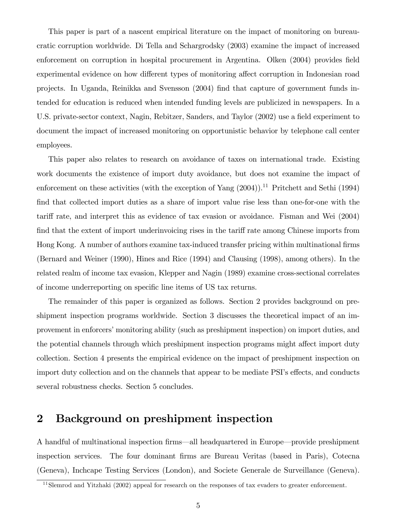This paper is part of a nascent empirical literature on the impact of monitoring on bureaucratic corruption worldwide. Di Tella and Schargrodsky (2003) examine the impact of increased enforcement on corruption in hospital procurement in Argentina. Olken (2004) provides field experimental evidence on how different types of monitoring affect corruption in Indonesian road projects. In Uganda, Reinikka and Svensson (2004) find that capture of government funds intended for education is reduced when intended funding levels are publicized in newspapers. In a U.S. private-sector context, Nagin, Rebitzer, Sanders, and Taylor (2002) use a field experiment to document the impact of increased monitoring on opportunistic behavior by telephone call center employees.

This paper also relates to research on avoidance of taxes on international trade. Existing work documents the existence of import duty avoidance, but does not examine the impact of enforcement on these activities (with the exception of Yang  $(2004)$ ).<sup>11</sup> Pritchett and Sethi (1994) find that collected import duties as a share of import value rise less than one-for-one with the tariff rate, and interpret this as evidence of tax evasion or avoidance. Fisman and Wei (2004) find that the extent of import underinvoicing rises in the tariff rate among Chinese imports from Hong Kong. A number of authors examine tax-induced transfer pricing within multinational firms (Bernard and Weiner (1990), Hines and Rice (1994) and Clausing (1998), among others). In the related realm of income tax evasion, Klepper and Nagin (1989) examine cross-sectional correlates of income underreporting on specific line items of US tax returns.

The remainder of this paper is organized as follows. Section 2 provides background on preshipment inspection programs worldwide. Section 3 discusses the theoretical impact of an improvement in enforcersímonitoring ability (such as preshipment inspection) on import duties, and the potential channels through which preshipment inspection programs might affect import duty collection. Section 4 presents the empirical evidence on the impact of preshipment inspection on import duty collection and on the channels that appear to be mediate PSI's effects, and conducts several robustness checks. Section 5 concludes.

# 2 Background on preshipment inspection

A handful of multinational inspection firms—all headquartered in Europe—provide preshipment inspection services. The four dominant firms are Bureau Veritas (based in Paris), Cotecna (Geneva), Inchcape Testing Services (London), and Societe Generale de Surveillance (Geneva).

<sup>&</sup>lt;sup>11</sup>Slemrod and Yitzhaki (2002) appeal for research on the responses of tax evaders to greater enforcement.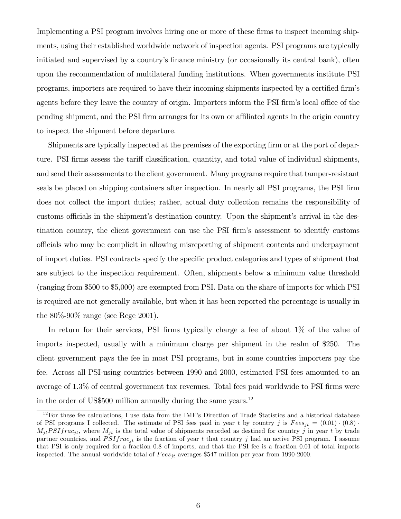Implementing a PSI program involves hiring one or more of these firms to inspect incoming shipments, using their established worldwide network of inspection agents. PSI programs are typically initiated and supervised by a country's finance ministry (or occasionally its central bank), often upon the recommendation of multilateral funding institutions. When governments institute PSI programs, importers are required to have their incoming shipments inspected by a certified firm's agents before they leave the country of origin. Importers inform the PSI firm's local office of the pending shipment, and the PSI firm arranges for its own or affiliated agents in the origin country to inspect the shipment before departure.

Shipments are typically inspected at the premises of the exporting firm or at the port of departure. PSI firms assess the tariff classification, quantity, and total value of individual shipments, and send their assessments to the client government. Many programs require that tamper-resistant seals be placed on shipping containers after inspection. In nearly all PSI programs, the PSI firm does not collect the import duties; rather, actual duty collection remains the responsibility of customs officials in the shipment's destination country. Upon the shipment's arrival in the destination country, the client government can use the PSI firm's assessment to identify customs o¢ cials who may be complicit in allowing misreporting of shipment contents and underpayment of import duties. PSI contracts specify the speciÖc product categories and types of shipment that are subject to the inspection requirement. Often, shipments below a minimum value threshold (ranging from \$500 to \$5,000) are exempted from PSI. Data on the share of imports for which PSI is required are not generally available, but when it has been reported the percentage is usually in the 80%-90% range (see Rege 2001).

In return for their services, PSI firms typically charge a fee of about 1% of the value of imports inspected, usually with a minimum charge per shipment in the realm of \$250. The client government pays the fee in most PSI programs, but in some countries importers pay the fee. Across all PSI-using countries between 1990 and 2000, estimated PSI fees amounted to an average of  $1.3\%$  of central government tax revenues. Total fees paid worldwide to PSI firms were in the order of US\$500 million annually during the same years.<sup>12</sup>

 $12$ For these fee calculations, I use data from the IMF's Direction of Trade Statistics and a historical database of PSI programs I collected. The estimate of PSI fees paid in year t by country j is  $Fees_{it} = (0.01) \cdot (0.8) \cdot$  $M_{it}PSI frac_{it}$ , where  $M_{it}$  is the total value of shipments recorded as destined for country j in year t by trade partner countries, and  $PSIf rac_{it}$  is the fraction of year t that country j had an active PSI program. I assume that PSI is only required for a fraction 0.8 of imports, and that the PSI fee is a fraction 0.01 of total imports inspected. The annual worldwide total of  $Fees_{it}$  averages \$547 million per year from 1990-2000.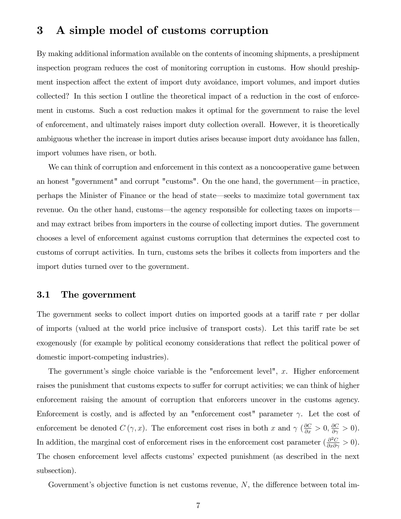# 3 A simple model of customs corruption

By making additional information available on the contents of incoming shipments, a preshipment inspection program reduces the cost of monitoring corruption in customs. How should preshipment inspection affect the extent of import duty avoidance, import volumes, and import duties collected? In this section I outline the theoretical impact of a reduction in the cost of enforcement in customs. Such a cost reduction makes it optimal for the government to raise the level of enforcement, and ultimately raises import duty collection overall. However, it is theoretically ambiguous whether the increase in import duties arises because import duty avoidance has fallen, import volumes have risen, or both.

We can think of corruption and enforcement in this context as a noncooperative game between an honest "government" and corrupt "customs". On the one hand, the government—in practice, perhaps the Minister of Finance or the head of state—seeks to maximize total government tax revenue. On the other hand, customs—the agency responsible for collecting taxes on imports and may extract bribes from importers in the course of collecting import duties. The government chooses a level of enforcement against customs corruption that determines the expected cost to customs of corrupt activities. In turn, customs sets the bribes it collects from importers and the import duties turned over to the government.

### 3.1 The government

The government seeks to collect import duties on imported goods at a tariff rate  $\tau$  per dollar of imports (valued at the world price inclusive of transport costs). Let this tariff rate be set exogenously (for example by political economy considerations that reflect the political power of domestic import-competing industries).

The government's single choice variable is the "enforcement level",  $x$ . Higher enforcement raises the punishment that customs expects to suffer for corrupt activities; we can think of higher enforcement raising the amount of corruption that enforcers uncover in the customs agency. Enforcement is costly, and is affected by an "enforcement cost" parameter  $\gamma$ . Let the cost of enforcement be denoted  $C(\gamma, x)$ . The enforcement cost rises in both x and  $\gamma \left(\frac{\partial C}{\partial x} > 0, \frac{\partial C}{\partial \gamma} > 0\right)$ . In addition, the marginal cost of enforcement rises in the enforcement cost parameter  $(\frac{\partial^2 C}{\partial x \partial \gamma} > 0)$ . The chosen enforcement level affects customs' expected punishment (as described in the next subsection).

Government's objective function is net customs revenue,  $N$ , the difference between total im-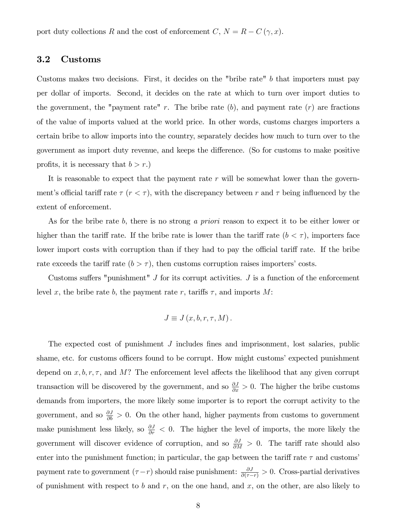port duty collections R and the cost of enforcement C,  $N = R - C(\gamma, x)$ .

## 3.2 Customs

Customs makes two decisions. First, it decides on the "bribe rate" b that importers must pay per dollar of imports. Second, it decides on the rate at which to turn over import duties to the government, the "payment rate" r. The bribe rate  $(b)$ , and payment rate  $(r)$  are fractions of the value of imports valued at the world price. In other words, customs charges importers a certain bribe to allow imports into the country, separately decides how much to turn over to the government as import duty revenue, and keeps the difference. (So for customs to make positive profits, it is necessary that  $b > r$ .)

It is reasonable to expect that the payment rate  $r$  will be somewhat lower than the government's official tariff rate  $\tau$  ( $r < \tau$ ), with the discrepancy between r and  $\tau$  being influenced by the extent of enforcement.

As for the bribe rate b, there is no strong a priori reason to expect it to be either lower or higher than the tariff rate. If the bribe rate is lower than the tariff rate  $(b < \tau)$ , importers face lower import costs with corruption than if they had to pay the official tariff rate. If the bribe rate exceeds the tariff rate  $(b > \tau)$ , then customs corruption raises importers' costs.

Customs suffers "punishment"  $J$  for its corrupt activities.  $J$  is a function of the enforcement level x, the bribe rate b, the payment rate r, tariffs  $\tau$ , and imports M:

$$
J \equiv J(x, b, r, \tau, M).
$$

The expected cost of punishment  $J$  includes fines and imprisonment, lost salaries, public shame, etc. for customs officers found to be corrupt. How might customs' expected punishment depend on  $x, b, r, \tau$ , and M? The enforcement level affects the likelihood that any given corrupt transaction will be discovered by the government, and so  $\frac{\partial J}{\partial x} > 0$ . The higher the bribe customs demands from importers, the more likely some importer is to report the corrupt activity to the government, and so  $\frac{\partial J}{\partial b} > 0$ . On the other hand, higher payments from customs to government make punishment less likely, so  $\frac{\partial J}{\partial r} < 0$ . The higher the level of imports, the more likely the government will discover evidence of corruption, and so  $\frac{\partial J}{\partial M} > 0$ . The tariff rate should also enter into the punishment function; in particular, the gap between the tariff rate  $\tau$  and customs payment rate to government  $(\tau - r)$  should raise punishment:  $\frac{\partial J}{\partial (\tau - r)} > 0$ . Cross-partial derivatives of punishment with respect to b and r, on the one hand, and x, on the other, are also likely to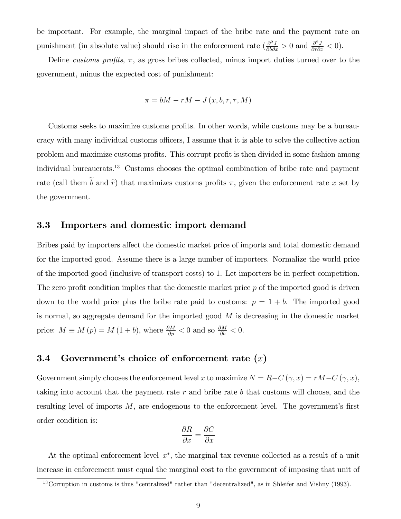be important. For example, the marginal impact of the bribe rate and the payment rate on punishment (in absolute value) should rise in the enforcement rate  $\left(\frac{\partial^2 J}{\partial b \partial x} > 0 \right)$  and  $\frac{\partial^2 J}{\partial r \partial x} < 0$ ).

Define customs profits,  $\pi$ , as gross bribes collected, minus import duties turned over to the government, minus the expected cost of punishment:

$$
\pi = bM - rM - J(x, b, r, \tau, M)
$$

Customs seeks to maximize customs profits. In other words, while customs may be a bureaucracy with many individual customs officers, I assume that it is able to solve the collective action problem and maximize customs profits. This corrupt profit is then divided in some fashion among individual bureaucrats.<sup>13</sup> Customs chooses the optimal combination of bribe rate and payment rate (call them  $\tilde{b}$  and  $\tilde{r}$ ) that maximizes customs profits  $\pi$ , given the enforcement rate x set by the government.

#### 3.3 Importers and domestic import demand

Bribes paid by importers affect the domestic market price of imports and total domestic demand for the imported good. Assume there is a large number of importers. Normalize the world price of the imported good (inclusive of transport costs) to 1. Let importers be in perfect competition. The zero profit condition implies that the domestic market price  $p$  of the imported good is driven down to the world price plus the bribe rate paid to customs:  $p = 1 + b$ . The imported good is normal, so aggregate demand for the imported good  $M$  is decreasing in the domestic market price:  $M \equiv M(p) = M(1+b)$ , where  $\frac{\partial M}{\partial p} < 0$  and so  $\frac{\partial M}{\partial b} < 0$ .

# 3.4 Government's choice of enforcement rate  $(x)$

Government simply chooses the enforcement level x to maximize  $N = R - C(\gamma, x) = rM - C(\gamma, x)$ , taking into account that the payment rate  $r$  and bribe rate  $b$  that customs will choose, and the resulting level of imports  $M$ , are endogenous to the enforcement level. The government's first order condition is:

$$
\frac{\partial R}{\partial x} = \frac{\partial C}{\partial x}
$$

At the optimal enforcement level  $x^*$ , the marginal tax revenue collected as a result of a unit increase in enforcement must equal the marginal cost to the government of imposing that unit of

<sup>13</sup>Corruption in customs is thus "centralized" rather than "decentralized", as in Shleifer and Vishny (1993).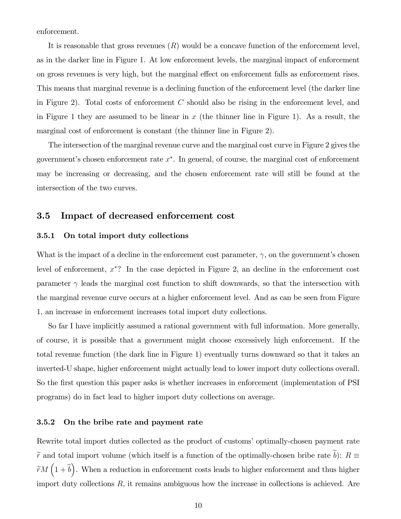enforcement.

It is reasonable that gross revenues  $(R)$  would be a concave function of the enforcement level, as in the darker line in Figure 1. At low enforcement levels, the marginal impact of enforcement on gross revenues is very high, but the marginal effect on enforcement falls as enforcement rises. This means that marginal revenue is a declining function of the enforcement level (the darker line in Figure 2). Total costs of enforcement C should also be rising in the enforcement level, and in Figure 1 they are assumed to be linear in  $x$  (the thinner line in Figure 1). As a result, the marginal cost of enforcement is constant (the thinner line in Figure 2).

The intersection of the marginal revenue curve and the marginal cost curve in Figure 2 gives the government's chosen enforcement rate  $x^*$ . In general, of course, the marginal cost of enforcement may be increasing or decreasing, and the chosen enforcement rate will still be found at the intersection of the two curves.

## 3.5 Impact of decreased enforcement cost

#### 3.5.1 On total import duty collections

What is the impact of a decline in the enforcement cost parameter,  $\gamma$ , on the government's chosen level of enforcement, x ? In the case depicted in Figure 2, an decline in the enforcement cost parameter  $\gamma$  leads the marginal cost function to shift downwards, so that the intersection with the marginal revenue curve occurs at a higher enforcement level. And as can be seen from Figure 1, an increase in enforcement increases total import duty collections.

So far I have implicitly assumed a rational government with full information. More generally, of course, it is possible that a government might choose excessively high enforcement. If the total revenue function (the dark line in Figure 1) eventually turns downward so that it takes an inverted-U shape, higher enforcement might actually lead to lower import duty collections overall. So the first question this paper asks is whether increases in enforcement (implementation of PSI programs) do in fact lead to higher import duty collections on average.

#### 3.5.2 On the bribe rate and payment rate

Rewrite total import duties collected as the product of customs' optimally-chosen payment rate  $\tilde{r}$  and total import volume (which itself is a function of the optimally-chosen bribe rate  $\tilde{b}$ ):  $R \equiv$  $\widetilde{r}M\left(1+\widetilde{b}\right)$ . When a reduction in enforcement costs leads to higher enforcement and thus higher import duty collections  $R$ , it remains ambiguous how the increase in collections is achieved. Are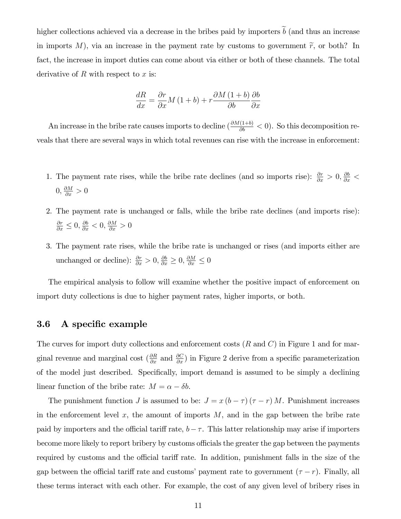higher collections achieved via a decrease in the bribes paid by importers  $\tilde{b}$  (and thus an increase in imports M), via an increase in the payment rate by customs to government  $\tilde{r}$ , or both? In fact, the increase in import duties can come about via either or both of these channels. The total derivative of  $R$  with respect to  $x$  is:

$$
\frac{dR}{dx} = \frac{\partial r}{\partial x}M\left(1+b\right) + r\frac{\partial M\left(1+b\right)}{\partial b}\frac{\partial b}{\partial x}
$$

An increase in the bribe rate causes imports to decline  $\left(\frac{\partial M(1+b)}{\partial b} < 0\right)$ . So this decomposition reveals that there are several ways in which total revenues can rise with the increase in enforcement:

- 1. The payment rate rises, while the bribe rate declines (and so imports rise):  $\frac{\partial r}{\partial x} > 0$ ,  $\frac{\partial b}{\partial x} <$  $0, \frac{\partial M}{\partial x} > 0$
- 2. The payment rate is unchanged or falls, while the bribe rate declines (and imports rise):  $\frac{\partial r}{\partial x} \leq 0$ ,  $\frac{\partial b}{\partial x} < 0$ ,  $\frac{\partial M}{\partial x} > 0$
- 3. The payment rate rises, while the bribe rate is unchanged or rises (and imports either are unchanged or decline):  $\frac{\partial r}{\partial x} > 0$ ,  $\frac{\partial b}{\partial x} \ge 0$ ,  $\frac{\partial M}{\partial x} \le 0$

The empirical analysis to follow will examine whether the positive impact of enforcement on import duty collections is due to higher payment rates, higher imports, or both.

## 3.6 A specific example

The curves for import duty collections and enforcement costs  $(R \text{ and } C)$  in Figure 1 and for marginal revenue and marginal cost  $(\frac{\partial R}{\partial x}$  and  $\frac{\partial C}{\partial x})$  in Figure 2 derive from a specific parameterization of the model just described. Specifically, import demand is assumed to be simply a declining linear function of the bribe rate:  $M = \alpha - \delta b$ .

The punishment function J is assumed to be:  $J = x (b - \tau) (\tau - r) M$ . Punishment increases in the enforcement level x, the amount of imports  $M$ , and in the gap between the bribe rate paid by importers and the official tariff rate,  $b - \tau$ . This latter relationship may arise if importers become more likely to report bribery by customs officials the greater the gap between the payments required by customs and the official tariff rate. In addition, punishment falls in the size of the gap between the official tariff rate and customs' payment rate to government  $(\tau - r)$ . Finally, all these terms interact with each other. For example, the cost of any given level of bribery rises in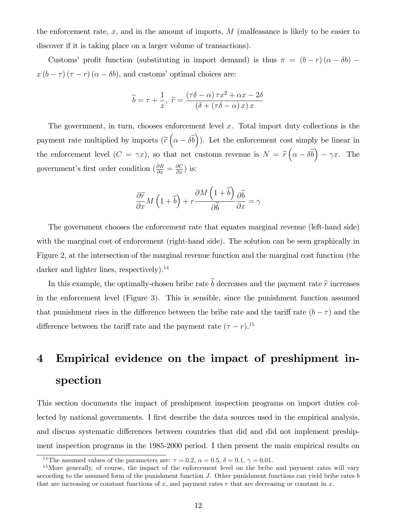the enforcement rate,  $x$ , and in the amount of imports,  $M$  (malfeasance is likely to be easier to discover if it is taking place on a larger volume of transactions).

Customs' profit function (substituting in import demand) is thus  $\pi = (b - r)(\alpha - \delta b)$  $x (b - \tau) (\tau - r) (\alpha - \delta b)$ , and customs' optimal choices are:

$$
\widetilde{b} = \tau + \frac{1}{x}, \ \widetilde{r} = \frac{(\tau \delta - \alpha) \tau x^2 + \alpha x - 2\delta}{(\delta + (\tau \delta - \alpha) x) x}
$$

The government, in turn, chooses enforcement level x. Total import duty collections is the payment rate multiplied by imports  $(\tilde{r}(\alpha - \delta \tilde{b}))$ . Let the enforcement cost simply be linear in the enforcement level  $(C = \gamma x)$ , so that net customs revenue is  $N = \tilde{r}(\alpha - \delta \tilde{b}) - \gamma x$ . The government's first order condition  $\left(\frac{\partial R}{\partial x} = \frac{\partial C}{\partial x}\right)$  is:

$$
\frac{\partial \widetilde{r}}{\partial x}M\left(1+\widetilde{b}\right)+r\frac{\partial M\left(1+\widetilde{b}\right)}{\partial \widetilde{b}}\frac{\partial \widetilde{b}}{\partial x}=\gamma
$$

The government chooses the enforcement rate that equates marginal revenue (left-hand side) with the marginal cost of enforcement (right-hand side). The solution can be seen graphically in Figure 2, at the intersection of the marginal revenue function and the marginal cost function (the darker and lighter lines, respectively).<sup>14</sup>

In this example, the optimally-chosen bribe rate  $\tilde{b}$  decreases and the payment rate  $\tilde{r}$  increases in the enforcement level (Figure 3). This is sensible, since the punishment function assumed that punishment rises in the difference between the bribe rate and the tariff rate  $(b - \tau)$  and the difference between the tariff rate and the payment rate  $(\tau - r)$ .<sup>15</sup>

# 4 Empirical evidence on the impact of preshipment inspection

This section documents the impact of preshipment inspection programs on import duties collected by national governments. I first describe the data sources used in the empirical analysis, and discuss systematic differences between countries that did and did not implement preshipment inspection programs in the 1985-2000 period. I then present the main empirical results on

<sup>&</sup>lt;sup>14</sup>The assumed values of the parameters are:  $\tau = 0.2$ ,  $\alpha = 0.5$ ,  $\delta = 0.1$ ,  $\gamma = 0.01$ .

<sup>&</sup>lt;sup>15</sup>More generally, of course, the impact of the enforcement level on the bribe and payment rates will vary according to the assumed form of the punishment function  $J$ . Other punishment functions can yield bribe rates  $b$ that are increasing or constant functions of x, and payment rates r that are decreasing or constant in  $x$ .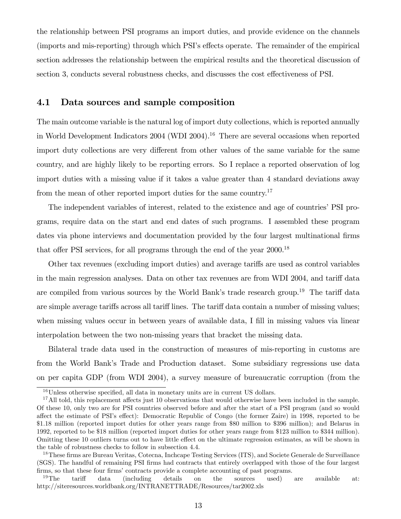the relationship between PSI programs an import duties, and provide evidence on the channels (imports and mis-reporting) through which PSI's effects operate. The remainder of the empirical section addresses the relationship between the empirical results and the theoretical discussion of section 3, conducts several robustness checks, and discusses the cost effectiveness of PSI.

## 4.1 Data sources and sample composition

The main outcome variable is the natural log of import duty collections, which is reported annually in World Development Indicators 2004 (WDI 2004).<sup>16</sup> There are several occasions when reported import duty collections are very different from other values of the same variable for the same country, and are highly likely to be reporting errors. So I replace a reported observation of log import duties with a missing value if it takes a value greater than 4 standard deviations away from the mean of other reported import duties for the same country.<sup>17</sup>

The independent variables of interest, related to the existence and age of countries' PSI programs, require data on the start and end dates of such programs. I assembled these program dates via phone interviews and documentation provided by the four largest multinational firms that offer PSI services, for all programs through the end of the year  $2000$ .<sup>18</sup>

Other tax revenues (excluding import duties) and average tariffs are used as control variables in the main regression analyses. Data on other tax revenues are from WDI 2004, and tariff data are compiled from various sources by the World Bank's trade research group.<sup>19</sup> The tariff data are simple average tariffs across all tariff lines. The tariff data contain a number of missing values; when missing values occur in between years of available data, I fill in missing values via linear interpolation between the two non-missing years that bracket the missing data.

Bilateral trade data used in the construction of measures of mis-reporting in customs are from the World Bank's Trade and Production dataset. Some subsidiary regressions use data on per capita GDP (from WDI 2004), a survey measure of bureaucratic corruption (from the

<sup>&</sup>lt;sup>16</sup>Unless otherwise specified, all data in monetary units are in current US dollars.

 $17$ All told, this replacement affects just 10 observations that would otherwise have been included in the sample. Of these 10, only two are for PSI countries observed before and after the start of a PSI program (and so would affect the estimate of PSI's effect): Democratic Republic of Congo (the former Zaire) in 1998, reported to be \$1.18 million (reported import duties for other years range from \$80 million to \$396 million); and Belarus in 1992, reported to be \$18 million (reported import duties for other years range from \$123 million to \$344 million). Omitting these 10 outliers turns out to have little effect on the ultimate regression estimates, as will be shown in the table of robustness checks to follow in subsection 4.4.

<sup>&</sup>lt;sup>18</sup>These firms are Bureau Veritas, Cotecna, Inchcape Testing Services (ITS), and Societe Generale de Surveillance (SGS). The handful of remaining PSI Örms had contracts that entirely overlapped with those of the four largest firms, so that these four firms' contracts provide a complete accounting of past programs.

<sup>&</sup>lt;sup>19</sup>The tariff data (including details on the sources used) are available at: http://siteresources.worldbank.org/INTRANETTRADE/Resources/tar2002.xls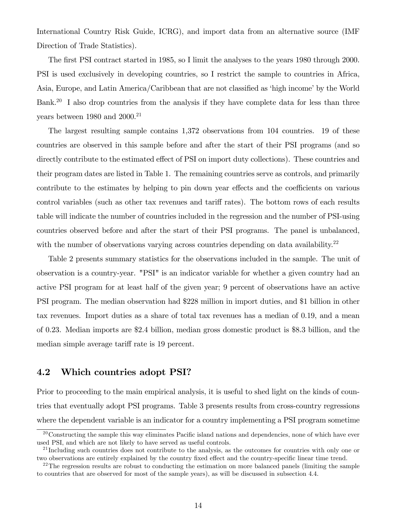International Country Risk Guide, ICRG), and import data from an alternative source (IMF Direction of Trade Statistics).

The first PSI contract started in 1985, so I limit the analyses to the years 1980 through 2000. PSI is used exclusively in developing countries, so I restrict the sample to countries in Africa, Asia, Europe, and Latin America/Caribbean that are not classified as 'high income' by the World Bank.<sup>20</sup> I also drop countries from the analysis if they have complete data for less than three years between 1980 and  $2000.<sup>21</sup>$ 

The largest resulting sample contains 1,372 observations from 104 countries. 19 of these countries are observed in this sample before and after the start of their PSI programs (and so directly contribute to the estimated effect of PSI on import duty collections). These countries and their program dates are listed in Table 1. The remaining countries serve as controls, and primarily contribute to the estimates by helping to pin down year effects and the coefficients on various control variables (such as other tax revenues and tariff rates). The bottom rows of each results table will indicate the number of countries included in the regression and the number of PSI-using countries observed before and after the start of their PSI programs. The panel is unbalanced, with the number of observations varying across countries depending on data availability.<sup>22</sup>

Table 2 presents summary statistics for the observations included in the sample. The unit of observation is a country-year. "PSI" is an indicator variable for whether a given country had an active PSI program for at least half of the given year; 9 percent of observations have an active PSI program. The median observation had \$228 million in import duties, and \$1 billion in other tax revenues. Import duties as a share of total tax revenues has a median of 0.19, and a mean of 0.23. Median imports are \$2.4 billion, median gross domestic product is \$8.3 billion, and the median simple average tariff rate is 19 percent.

# 4.2 Which countries adopt PSI?

Prior to proceeding to the main empirical analysis, it is useful to shed light on the kinds of countries that eventually adopt PSI programs. Table 3 presents results from cross-country regressions where the dependent variable is an indicator for a country implementing a PSI program sometime

<sup>&</sup>lt;sup>20</sup>Constructing the sample this way eliminates Pacific island nations and dependencies, none of which have ever used PSI, and which are not likely to have served as useful controls.

<sup>&</sup>lt;sup>21</sup>Including such countries does not contribute to the analysis, as the outcomes for countries with only one or two observations are entirely explained by the country fixed effect and the country-specific linear time trend.

 $^{22}$ The regression results are robust to conducting the estimation on more balanced panels (limiting the sample to countries that are observed for most of the sample years), as will be discussed in subsection 4.4.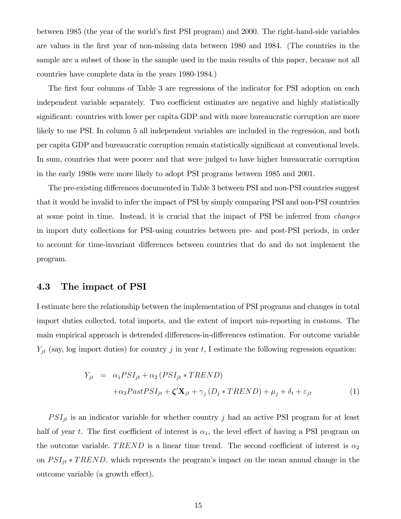between 1985 (the year of the world's first PSI program) and 2000. The right-hand-side variables are values in the first year of non-missing data between 1980 and 1984. (The countries in the sample are a subset of those in the sample used in the main results of this paper, because not all countries have complete data in the years 1980-1984.)

The first four columns of Table 3 are regressions of the indicator for PSI adoption on each independent variable separately. Two coefficient estimates are negative and highly statistically significant: countries with lower per capita GDP and with more bureaucratic corruption are more likely to use PSI. In column 5 all independent variables are included in the regression, and both per capita GDP and bureaucratic corruption remain statistically significant at conventional levels. In sum, countries that were poorer and that were judged to have higher bureaucratic corruption in the early 1980s were more likely to adopt PSI programs between 1985 and 2001.

The pre-existing differences documented in Table 3 between PSI and non-PSI countries suggest that it would be invalid to infer the impact of PSI by simply comparing PSI and non-PSI countries at some point in time. Instead, it is crucial that the impact of PSI be inferred from changes in import duty collections for PSI-using countries between pre- and post-PSI periods, in order to account for time-invariant differences between countries that do and do not implement the program.

### 4.3 The impact of PSI

I estimate here the relationship between the implementation of PSI programs and changes in total import duties collected, total imports, and the extent of import mis-reporting in customs. The main empirical approach is detrended differences-in-differences estimation. For outcome variable  $Y_{jt}$  (say, log import duties) for country j in year t, I estimate the following regression equation:

$$
Y_{jt} = \alpha_1 P S I_{jt} + \alpha_2 (PS I_{jt} * T R E N D)
$$
  
+
$$
\alpha_3 P ast P S I_{jt} + \zeta' \mathbf{X}_{jt} + \gamma_j (D_j * T R E N D) + \mu_j + \delta_t + \varepsilon_{jt}
$$
 (1)

 $PSI_{jt}$  is an indicator variable for whether country j had an active PSI program for at least half of year t. The first coefficient of interest is  $\alpha_1$ , the level effect of having a PSI program on the outcome variable. TREND is a linear time trend. The second coefficient of interest is  $\alpha_2$ on  $PSI_{jt} * TREND$ , which represents the program's impact on the mean annual change in the outcome variable (a growth effect).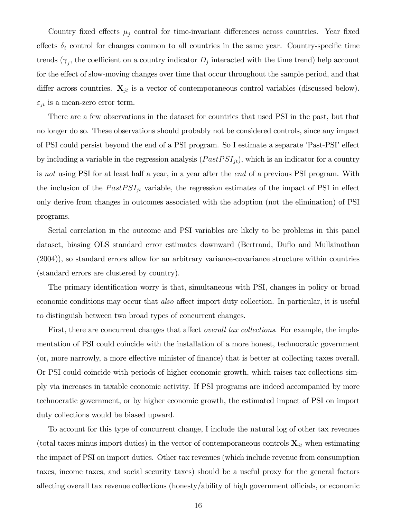Country fixed effects  $\mu_j$  control for time-invariant differences across countries. Year fixed effects  $\delta_t$  control for changes common to all countries in the same year. Country-specific time trends ( $\gamma_j$ , the coefficient on a country indicator  $D_j$  interacted with the time trend) help account for the effect of slow-moving changes over time that occur throughout the sample period, and that differ across countries.  $\mathbf{X}_{jt}$  is a vector of contemporaneous control variables (discussed below).  $\varepsilon_{jt}$  is a mean-zero error term.

There are a few observations in the dataset for countries that used PSI in the past, but that no longer do so. These observations should probably not be considered controls, since any impact of PSI could persist beyond the end of a PSI program. So I estimate a separate 'Past-PSI' effect by including a variable in the regression analysis  $(PastPSI_{jt})$ , which is an indicator for a country is not using PSI for at least half a year, in a year after the end of a previous PSI program. With the inclusion of the  $FastPSI_{jt}$  variable, the regression estimates of the impact of PSI in effect only derive from changes in outcomes associated with the adoption (not the elimination) of PSI programs.

Serial correlation in the outcome and PSI variables are likely to be problems in this panel dataset, biasing OLS standard error estimates downward (Bertrand, Duflo and Mullainathan (2004)), so standard errors allow for an arbitrary variance-covariance structure within countries (standard errors are clustered by country).

The primary identification worry is that, simultaneous with PSI, changes in policy or broad economic conditions may occur that also affect import duty collection. In particular, it is useful to distinguish between two broad types of concurrent changes.

First, there are concurrent changes that affect *overall tax collections*. For example, the implementation of PSI could coincide with the installation of a more honest, technocratic government (or, more narrowly, a more effective minister of finance) that is better at collecting taxes overall. Or PSI could coincide with periods of higher economic growth, which raises tax collections simply via increases in taxable economic activity. If PSI programs are indeed accompanied by more technocratic government, or by higher economic growth, the estimated impact of PSI on import duty collections would be biased upward.

To account for this type of concurrent change, I include the natural log of other tax revenues (total taxes minus import duties) in the vector of contemporaneous controls  $\mathbf{X}_{jt}$  when estimating the impact of PSI on import duties. Other tax revenues (which include revenue from consumption taxes, income taxes, and social security taxes) should be a useful proxy for the general factors affecting overall tax revenue collections (honesty/ability of high government officials, or economic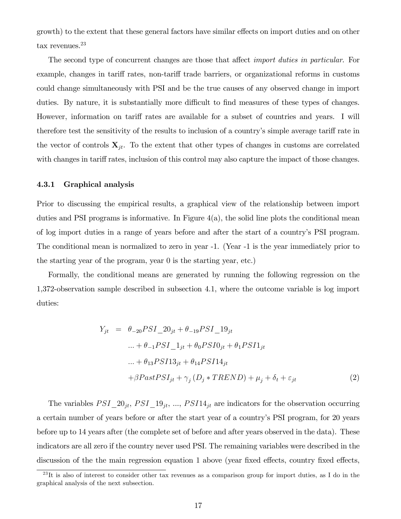growth) to the extent that these general factors have similar effects on import duties and on other tax revenues.<sup>23</sup>

The second type of concurrent changes are those that affect *import duties in particular*. For example, changes in tariff rates, non-tariff trade barriers, or organizational reforms in customs could change simultaneously with PSI and be the true causes of any observed change in import duties. By nature, it is substantially more difficult to find measures of these types of changes. However, information on tariff rates are available for a subset of countries and years. I will therefore test the sensitivity of the results to inclusion of a country's simple average tariff rate in the vector of controls  $\mathbf{X}_{jt}$ . To the extent that other types of changes in customs are correlated with changes in tariff rates, inclusion of this control may also capture the impact of those changes.

#### 4.3.1 Graphical analysis

Prior to discussing the empirical results, a graphical view of the relationship between import duties and PSI programs is informative. In Figure 4(a), the solid line plots the conditional mean of log import duties in a range of years before and after the start of a countryís PSI program. The conditional mean is normalized to zero in year -1. (Year -1 is the year immediately prior to the starting year of the program, year 0 is the starting year, etc.)

Formally, the conditional means are generated by running the following regression on the 1,372-observation sample described in subsection 4.1, where the outcome variable is log import duties:

$$
Y_{jt} = \theta_{-20}PSI\_20_{jt} + \theta_{-19}PSI\_19_{jt}
$$
  
\n
$$
\dots + \theta_{-1}PSI\_1_{jt} + \theta_0PSI0_{jt} + \theta_1PSI1_{jt}
$$
  
\n
$$
\dots + \theta_{13}PSI13_{jt} + \theta_{14}PSI14_{jt}
$$
  
\n
$$
+ \beta PastPSI_{jt} + \gamma_j (D_j * TREND) + \mu_j + \delta_t + \varepsilon_{jt}
$$
\n(2)

The variables  $PSI_20_{jt}$ ,  $PSI_19_{jt}$ , ...,  $PSI14_{jt}$  are indicators for the observation occurring a certain number of years before or after the start year of a countryís PSI program, for 20 years before up to 14 years after (the complete set of before and after years observed in the data). These indicators are all zero if the country never used PSI. The remaining variables were described in the discussion of the the main regression equation 1 above (year fixed effects, country fixed effects,

 $^{23}$ It is also of interest to consider other tax revenues as a comparison group for import duties, as I do in the graphical analysis of the next subsection.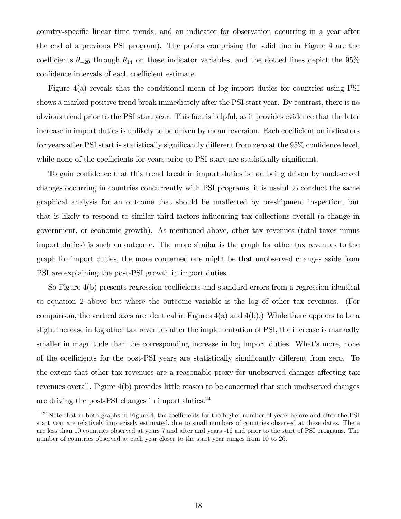country-specific linear time trends, and an indicator for observation occurring in a year after the end of a previous PSI program). The points comprising the solid line in Figure 4 are the coefficients  $\theta_{-20}$  through  $\theta_{14}$  on these indicator variables, and the dotted lines depict the 95% confidence intervals of each coefficient estimate.

Figure 4(a) reveals that the conditional mean of log import duties for countries using PSI shows a marked positive trend break immediately after the PSI start year. By contrast, there is no obvious trend prior to the PSI start year. This fact is helpful, as it provides evidence that the later increase in import duties is unlikely to be driven by mean reversion. Each coefficient on indicators for years after PSI start is statistically significantly different from zero at the  $95\%$  confidence level, while none of the coefficients for years prior to PSI start are statistically significant.

To gain confidence that this trend break in import duties is not being driven by unobserved changes occurring in countries concurrently with PSI programs, it is useful to conduct the same graphical analysis for an outcome that should be unaffected by preshipment inspection, but that is likely to respond to similar third factors influencing tax collections overall (a change in government, or economic growth). As mentioned above, other tax revenues (total taxes minus import duties) is such an outcome. The more similar is the graph for other tax revenues to the graph for import duties, the more concerned one might be that unobserved changes aside from PSI are explaining the post-PSI growth in import duties.

So Figure 4(b) presents regression coefficients and standard errors from a regression identical to equation 2 above but where the outcome variable is the log of other tax revenues. (For comparison, the vertical axes are identical in Figures 4(a) and 4(b).) While there appears to be a slight increase in log other tax revenues after the implementation of PSI, the increase is markedly smaller in magnitude than the corresponding increase in log import duties. What's more, none of the coefficients for the post-PSI years are statistically significantly different from zero. To the extent that other tax revenues are a reasonable proxy for unobserved changes affecting tax revenues overall, Figure 4(b) provides little reason to be concerned that such unobserved changes are driving the post-PSI changes in import duties.<sup>24</sup>

 $^{24}$ Note that in both graphs in Figure 4, the coefficients for the higher number of years before and after the PSI start year are relatively imprecisely estimated, due to small numbers of countries observed at these dates. There are less than 10 countries observed at years 7 and after and years -16 and prior to the start of PSI programs. The number of countries observed at each year closer to the start year ranges from 10 to 26.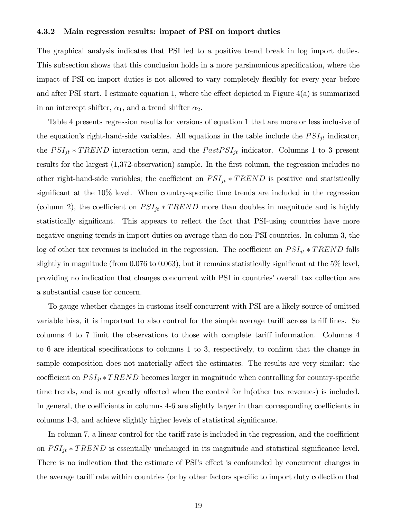#### 4.3.2 Main regression results: impact of PSI on import duties

The graphical analysis indicates that PSI led to a positive trend break in log import duties. This subsection shows that this conclusion holds in a more parsimonious specification, where the impact of PSI on import duties is not allowed to vary completely flexibly for every year before and after PSI start. I estimate equation 1, where the effect depicted in Figure  $4(a)$  is summarized in an intercept shifter,  $\alpha_1$ , and a trend shifter  $\alpha_2$ .

Table 4 presents regression results for versions of equation 1 that are more or less inclusive of the equation's right-hand-side variables. All equations in the table include the  $PSI_{jt}$  indicator, the  $PSI_{jt} * TREND$  interaction term, and the  $FastPSI_{jt}$  indicator. Columns 1 to 3 present results for the largest (1,372-observation) sample. In the first column, the regression includes no other right-hand-side variables; the coefficient on  $PSI_{jt} * TREND$  is positive and statistically significant at the 10% level. When country-specific time trends are included in the regression (column 2), the coefficient on  $PSI_{jt} * TREND$  more than doubles in magnitude and is highly statistically significant. This appears to reflect the fact that PSI-using countries have more negative ongoing trends in import duties on average than do non-PSI countries. In column 3, the log of other tax revenues is included in the regression. The coefficient on  $PSI_{jt} * TREND$  falls slightly in magnitude (from 0.076 to 0.063), but it remains statistically significant at the  $5\%$  level, providing no indication that changes concurrent with PSI in countries' overall tax collection are a substantial cause for concern.

To gauge whether changes in customs itself concurrent with PSI are a likely source of omitted variable bias, it is important to also control for the simple average tariff across tariff lines. So columns  $4$  to  $7$  limit the observations to those with complete tariff information. Columns  $4$ to 6 are identical specifications to columns 1 to 3, respectively, to confirm that the change in sample composition does not materially affect the estimates. The results are very similar: the coefficient on  $PSI_{jt} * TREND$  becomes larger in magnitude when controlling for country-specific time trends, and is not greatly affected when the control for ln(other tax revenues) is included. In general, the coefficients in columns 4-6 are slightly larger in than corresponding coefficients in columns 1-3, and achieve slightly higher levels of statistical significance.

In column 7, a linear control for the tariff rate is included in the regression, and the coefficient on  $PSI_{jt} * TREND$  is essentially unchanged in its magnitude and statistical significance level. There is no indication that the estimate of PSI's effect is confounded by concurrent changes in the average tariff rate within countries (or by other factors specific to import duty collection that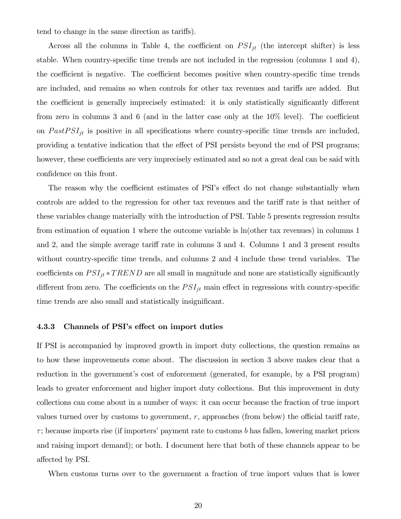tend to change in the same direction as tariffs).

Across all the columns in Table 4, the coefficient on  $PSI_{jt}$  (the intercept shifter) is less stable. When country-specific time trends are not included in the regression (columns  $1$  and  $4$ ), the coefficient is negative. The coefficient becomes positive when country-specific time trends are included, and remains so when controls for other tax revenues and tariffs are added. But the coefficient is generally imprecisely estimated: it is only statistically significantly different from zero in columns 3 and 6 (and in the latter case only at the  $10\%$  level). The coefficient on  $FastPSI_{jt}$  is positive in all specifications where country-specific time trends are included, providing a tentative indication that the effect of PSI persists beyond the end of PSI programs; however, these coefficients are very imprecisely estimated and so not a great deal can be said with confidence on this front.

The reason why the coefficient estimates of PSI's effect do not change substantially when controls are added to the regression for other tax revenues and the tariff rate is that neither of these variables change materially with the introduction of PSI. Table 5 presents regression results from estimation of equation 1 where the outcome variable is ln(other tax revenues) in columns 1 and 2, and the simple average tariff rate in columns 3 and 4. Columns 1 and 3 present results without country-specific time trends, and columns 2 and 4 include these trend variables. The coefficients on  $PSI_{jt} * TREND$  are all small in magnitude and none are statistically significantly different from zero. The coefficients on the  $PSI_{jt}$  main effect in regressions with country-specific time trends are also small and statistically insignificant.

#### 4.3.3 Channels of PSI's effect on import duties

If PSI is accompanied by improved growth in import duty collections, the question remains as to how these improvements come about. The discussion in section 3 above makes clear that a reduction in the government's cost of enforcement (generated, for example, by a PSI program) leads to greater enforcement and higher import duty collections. But this improvement in duty collections can come about in a number of ways: it can occur because the fraction of true import values turned over by customs to government,  $r$ , approaches (from below) the official tariff rate,  $\tau$ ; because imports rise (if importers' payment rate to customs b has fallen, lowering market prices and raising import demand); or both. I document here that both of these channels appear to be a§ected by PSI.

When customs turns over to the government a fraction of true import values that is lower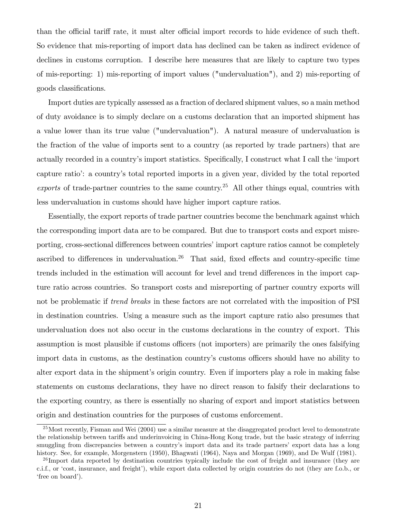than the official tariff rate, it must alter official import records to hide evidence of such theft. So evidence that mis-reporting of import data has declined can be taken as indirect evidence of declines in customs corruption. I describe here measures that are likely to capture two types of mis-reporting: 1) mis-reporting of import values ("undervaluation"), and 2) mis-reporting of goods classifications.

Import duties are typically assessed as a fraction of declared shipment values, so a main method of duty avoidance is to simply declare on a customs declaration that an imported shipment has a value lower than its true value ("undervaluation"). A natural measure of undervaluation is the fraction of the value of imports sent to a country (as reported by trade partners) that are actually recorded in a country's import statistics. Specifically, I construct what I call the 'import capture ratio<sup>2</sup>: a country's total reported imports in a given year, divided by the total reported exports of trade-partner countries to the same country.<sup>25</sup> All other things equal, countries with less undervaluation in customs should have higher import capture ratios.

Essentially, the export reports of trade partner countries become the benchmark against which the corresponding import data are to be compared. But due to transport costs and export misreporting, cross-sectional differences between countries' import capture ratios cannot be completely ascribed to differences in undervaluation.<sup>26</sup> That said, fixed effects and country-specific time trends included in the estimation will account for level and trend differences in the import capture ratio across countries. So transport costs and misreporting of partner country exports will not be problematic if trend breaks in these factors are not correlated with the imposition of PSI in destination countries. Using a measure such as the import capture ratio also presumes that undervaluation does not also occur in the customs declarations in the country of export. This assumption is most plausible if customs officers (not importers) are primarily the ones falsifying import data in customs, as the destination country's customs officers should have no ability to alter export data in the shipment's origin country. Even if importers play a role in making false statements on customs declarations, they have no direct reason to falsify their declarations to the exporting country, as there is essentially no sharing of export and import statistics between origin and destination countries for the purposes of customs enforcement.

<sup>&</sup>lt;sup>25</sup>Most recently, Fisman and Wei (2004) use a similar measure at the disaggregated product level to demonstrate the relationship between tariffs and underinvoicing in China-Hong Kong trade, but the basic strategy of inferring smuggling from discrepancies between a country's import data and its trade partners' export data has a long history. See, for example, Morgenstern (1950), Bhagwati (1964), Naya and Morgan (1969), and De Wulf (1981).

 $^{26}$ Import data reported by destination countries typically include the cost of freight and insurance (they are c.i.f., or 'cost, insurance, and freight'), while export data collected by origin countries do not (they are f.o.b., or 'free on board').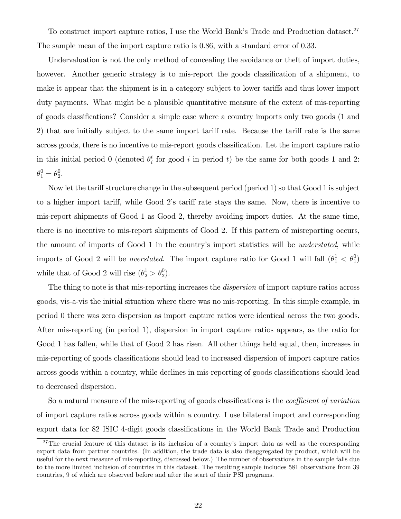To construct import capture ratios, I use the World Bank's Trade and Production dataset.<sup>27</sup> The sample mean of the import capture ratio is 0.86, with a standard error of 0.33.

Undervaluation is not the only method of concealing the avoidance or theft of import duties, however. Another generic strategy is to mis-report the goods classification of a shipment, to make it appear that the shipment is in a category subject to lower tariffs and thus lower import duty payments. What might be a plausible quantitative measure of the extent of mis-reporting of goods classifications? Consider a simple case where a country imports only two goods (1 and 2) that are initially subject to the same import tariff rate. Because the tariff rate is the same across goods, there is no incentive to mis-report goods classification. Let the import capture ratio in this initial period 0 (denoted  $\theta_i^t$  $i<sub>i</sub>$  for good i in period t) be the same for both goods 1 and 2:  $\theta_1^0 = \theta_2^0$  $\frac{0}{2}$ .

Now let the tariff structure change in the subsequent period (period 1) so that Good 1 is subject to a higher import tariff, while Good 2's tariff rate stays the same. Now, there is incentive to mis-report shipments of Good 1 as Good 2, thereby avoiding import duties. At the same time, there is no incentive to mis-report shipments of Good 2. If this pattern of misreporting occurs, the amount of imports of Good 1 in the country's import statistics will be *understated*, while imports of Good 2 will be *overstated*. The import capture ratio for Good 1 will fall  $(\theta_1^1 < \theta_1^0)$ while that of Good 2 will rise  $(\theta_2^1 > \theta_2^0)$ .

The thing to note is that mis-reporting increases the *dispersion* of import capture ratios across goods, vis-a-vis the initial situation where there was no mis-reporting. In this simple example, in period 0 there was zero dispersion as import capture ratios were identical across the two goods. After mis-reporting (in period 1), dispersion in import capture ratios appears, as the ratio for Good 1 has fallen, while that of Good 2 has risen. All other things held equal, then, increases in mis-reporting of goods classifications should lead to increased dispersion of import capture ratios across goods within a country, while declines in mis-reporting of goods classifications should lead to decreased dispersion.

So a natural measure of the mis-reporting of goods classifications is the *coefficient of variation* of import capture ratios across goods within a country. I use bilateral import and corresponding export data for 82 ISIC 4-digit goods classifications in the World Bank Trade and Production

 $27$ The crucial feature of this dataset is its inclusion of a country's import data as well as the corresponding export data from partner countries. (In addition, the trade data is also disaggregated by product, which will be useful for the next measure of mis-reporting, discussed below.) The number of observations in the sample falls due to the more limited inclusion of countries in this dataset. The resulting sample includes 581 observations from 39 countries, 9 of which are observed before and after the start of their PSI programs.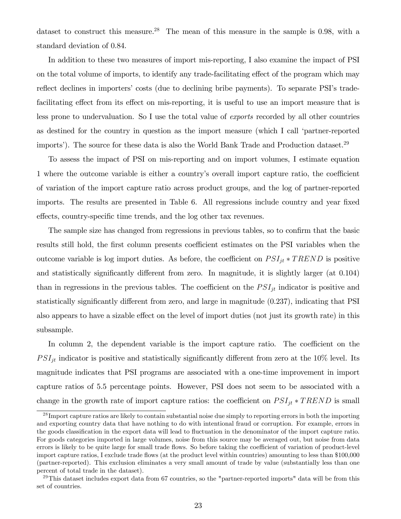dataset to construct this measure.<sup>28</sup> The mean of this measure in the sample is 0.98, with a standard deviation of 0.84.

In addition to these two measures of import mis-reporting, I also examine the impact of PSI on the total volume of imports, to identify any trade-facilitating effect of the program which may reflect declines in importers' costs (due to declining bribe payments). To separate PSI's tradefacilitating effect from its effect on mis-reporting, it is useful to use an import measure that is less prone to undervaluation. So I use the total value of exports recorded by all other countries as destined for the country in question as the import measure (which I call ëpartner-reported imports'). The source for these data is also the World Bank Trade and Production dataset.<sup>29</sup>

To assess the impact of PSI on mis-reporting and on import volumes, I estimate equation 1 where the outcome variable is either a country's overall import capture ratio, the coefficient of variation of the import capture ratio across product groups, and the log of partner-reported imports. The results are presented in Table 6. All regressions include country and year fixed effects, country-specific time trends, and the log other tax revenues.

The sample size has changed from regressions in previous tables, so to confirm that the basic results still hold, the first column presents coefficient estimates on the PSI variables when the outcome variable is log import duties. As before, the coefficient on  $PSI_{it} * TREND$  is positive and statistically significantly different from zero. In magnitude, it is slightly larger (at 0.104) than in regressions in the previous tables. The coefficient on the  $PSI_{jt}$  indicator is positive and statistically significantly different from zero, and large in magnitude  $(0.237)$ , indicating that PSI also appears to have a sizable effect on the level of import duties (not just its growth rate) in this subsample.

In column 2, the dependent variable is the import capture ratio. The coefficient on the  $PSI_{jt}$  indicator is positive and statistically significantly different from zero at the 10% level. Its magnitude indicates that PSI programs are associated with a one-time improvement in import capture ratios of 5.5 percentage points. However, PSI does not seem to be associated with a change in the growth rate of import capture ratios: the coefficient on  $PSI_{jt} * TREND$  is small

<sup>&</sup>lt;sup>28</sup> Import capture ratios are likely to contain substantial noise due simply to reporting errors in both the importing and exporting country data that have nothing to do with intentional fraud or corruption. For example, errors in the goods classification in the export data will lead to fluctuation in the denominator of the import capture ratio. For goods categories imported in large volumes, noise from this source may be averaged out, but noise from data errors is likely to be quite large for small trade flows. So before taking the coefficient of variation of product-level import capture ratios, I exclude trade flows (at the product level within countries) amounting to less than \$100,000 (partner-reported). This exclusion eliminates a very small amount of trade by value (substantially less than one percent of total trade in the dataset).

 $^{29}$ This dataset includes export data from 67 countries, so the "partner-reported imports" data will be from this set of countries.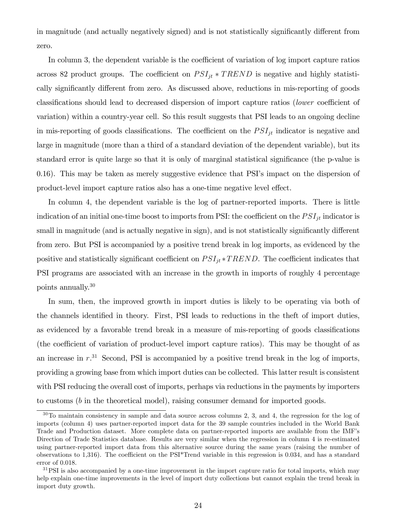in magnitude (and actually negatively signed) and is not statistically significantly different from zero.

In column 3, the dependent variable is the coefficient of variation of log import capture ratios across 82 product groups. The coefficient on  $PSI_{jt} * TREND$  is negative and highly statistically significantly different from zero. As discussed above, reductions in mis-reporting of goods classifications should lead to decreased dispersion of import capture ratios (lower coefficient of variation) within a country-year cell. So this result suggests that PSI leads to an ongoing decline in mis-reporting of goods classifications. The coefficient on the  $PSI_{jt}$  indicator is negative and large in magnitude (more than a third of a standard deviation of the dependent variable), but its standard error is quite large so that it is only of marginal statistical significance (the p-value is 0.16). This may be taken as merely suggestive evidence that PSI's impact on the dispersion of product-level import capture ratios also has a one-time negative level effect.

In column 4, the dependent variable is the log of partner-reported imports. There is little indication of an initial one-time boost to imports from PSI: the coefficient on the  $PSI_{it}$  indicator is small in magnitude (and is actually negative in sign), and is not statistically significantly different from zero. But PSI is accompanied by a positive trend break in log imports, as evidenced by the positive and statistically significant coefficient on  $PSI_{jt} * TREDD$ . The coefficient indicates that PSI programs are associated with an increase in the growth in imports of roughly 4 percentage points annually.<sup>30</sup>

In sum, then, the improved growth in import duties is likely to be operating via both of the channels identified in theory. First, PSI leads to reductions in the theft of import duties, as evidenced by a favorable trend break in a measure of mis-reporting of goods classifications (the coefficient of variation of product-level import capture ratios). This may be thought of as an increase in  $r^{31}$  Second, PSI is accompanied by a positive trend break in the log of imports, providing a growing base from which import duties can be collected. This latter result is consistent with PSI reducing the overall cost of imports, perhaps via reductions in the payments by importers to customs (b in the theoretical model), raising consumer demand for imported goods.

<sup>30</sup>To maintain consistency in sample and data source across columns 2, 3, and 4, the regression for the log of imports (column 4) uses partner-reported import data for the 39 sample countries included in the World Bank Trade and Production dataset. More complete data on partner-reported imports are available from the IMFís Direction of Trade Statistics database. Results are very similar when the regression in column 4 is re-estimated using partner-reported import data from this alternative source during the same years (raising the number of observations to 1,316). The coefficient on the  $PSI^*Trend$  variable in this regression is 0.034, and has a standard error of 0.018.

<sup>&</sup>lt;sup>31</sup>PSI is also accompanied by a one-time improvement in the import capture ratio for total imports, which may help explain one-time improvements in the level of import duty collections but cannot explain the trend break in import duty growth.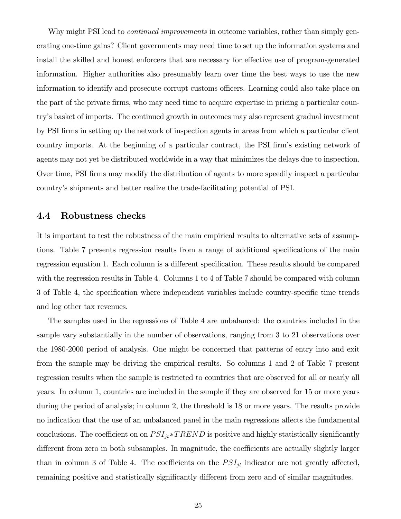Why might PSI lead to *continued improvements* in outcome variables, rather than simply generating one-time gains? Client governments may need time to set up the information systems and install the skilled and honest enforcers that are necessary for effective use of program-generated information. Higher authorities also presumably learn over time the best ways to use the new information to identify and prosecute corrupt customs officers. Learning could also take place on the part of the private firms, who may need time to acquire expertise in pricing a particular countryís basket of imports. The continued growth in outcomes may also represent gradual investment by PSI firms in setting up the network of inspection agents in areas from which a particular client country imports. At the beginning of a particular contract, the PSI firm's existing network of agents may not yet be distributed worldwide in a way that minimizes the delays due to inspection. Over time, PSI firms may modify the distribution of agents to more speedily inspect a particular countryís shipments and better realize the trade-facilitating potential of PSI.

## 4.4 Robustness checks

It is important to test the robustness of the main empirical results to alternative sets of assumptions. Table 7 presents regression results from a range of additional specifications of the main regression equation 1. Each column is a different specification. These results should be compared with the regression results in Table 4. Columns 1 to 4 of Table 7 should be compared with column 3 of Table 4, the specification where independent variables include country-specific time trends and log other tax revenues.

The samples used in the regressions of Table 4 are unbalanced: the countries included in the sample vary substantially in the number of observations, ranging from 3 to 21 observations over the 1980-2000 period of analysis. One might be concerned that patterns of entry into and exit from the sample may be driving the empirical results. So columns 1 and 2 of Table 7 present regression results when the sample is restricted to countries that are observed for all or nearly all years. In column 1, countries are included in the sample if they are observed for 15 or more years during the period of analysis; in column 2, the threshold is 18 or more years. The results provide no indication that the use of an unbalanced panel in the main regressions affects the fundamental conclusions. The coefficient on on  $PSI_{it}*TREND$  is positive and highly statistically significantly different from zero in both subsamples. In magnitude, the coefficients are actually slightly larger than in column 3 of Table 4. The coefficients on the  $PSI_{jt}$  indicator are not greatly affected, remaining positive and statistically significantly different from zero and of similar magnitudes.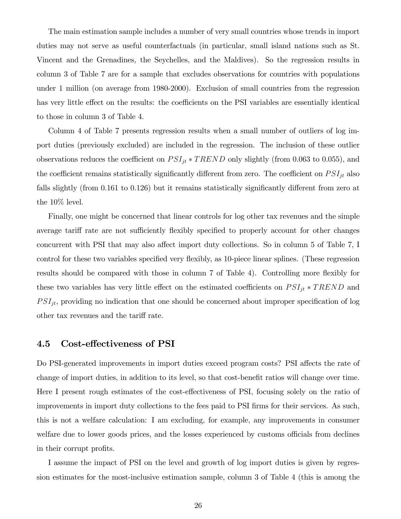The main estimation sample includes a number of very small countries whose trends in import duties may not serve as useful counterfactuals (in particular, small island nations such as St. Vincent and the Grenadines, the Seychelles, and the Maldives). So the regression results in column 3 of Table 7 are for a sample that excludes observations for countries with populations under 1 million (on average from 1980-2000). Exclusion of small countries from the regression has very little effect on the results: the coefficients on the PSI variables are essentially identical to those in column 3 of Table 4.

Column 4 of Table 7 presents regression results when a small number of outliers of log import duties (previously excluded) are included in the regression. The inclusion of these outlier observations reduces the coefficient on  $PSI_{jt} * TREND$  only slightly (from 0.063 to 0.055), and the coefficient remains statistically significantly different from zero. The coefficient on  $PSI_{jt}$  also falls slightly (from  $0.161$  to  $0.126$ ) but it remains statistically significantly different from zero at the 10% level.

Finally, one might be concerned that linear controls for log other tax revenues and the simple average tariff rate are not sufficiently flexibly specified to properly account for other changes concurrent with PSI that may also affect import duty collections. So in column 5 of Table 7, I control for these two variables specified very flexibly, as 10-piece linear splines. (These regression results should be compared with those in column 7 of Table 4). Controlling more flexibly for these two variables has very little effect on the estimated coefficients on  $PSI_{jt} * TREND$  and  $PSI_{jt}$ , providing no indication that one should be concerned about improper specification of log other tax revenues and the tariff rate.

## 4.5 Cost-effectiveness of PSI

Do PSI-generated improvements in import duties exceed program costs? PSI affects the rate of change of import duties, in addition to its level, so that cost-benefit ratios will change over time. Here I present rough estimates of the cost-effectiveness of PSI, focusing solely on the ratio of improvements in import duty collections to the fees paid to PSI firms for their services. As such, this is not a welfare calculation: I am excluding, for example, any improvements in consumer welfare due to lower goods prices, and the losses experienced by customs officials from declines in their corrupt profits.

I assume the impact of PSI on the level and growth of log import duties is given by regression estimates for the most-inclusive estimation sample, column 3 of Table 4 (this is among the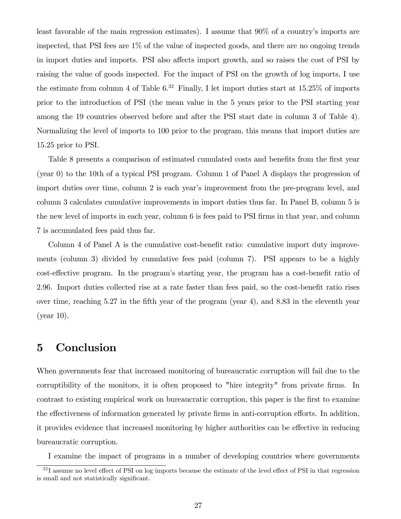least favorable of the main regression estimates). I assume that 90% of a country's imports are inspected, that PSI fees are 1% of the value of inspected goods, and there are no ongoing trends in import duties and imports. PSI also affects import growth, and so raises the cost of PSI by raising the value of goods inspected. For the impact of PSI on the growth of log imports, I use the estimate from column 4 of Table  $6^{32}$  Finally, I let import duties start at 15.25% of imports prior to the introduction of PSI (the mean value in the 5 years prior to the PSI starting year among the 19 countries observed before and after the PSI start date in column 3 of Table 4). Normalizing the level of imports to 100 prior to the program, this means that import duties are 15.25 prior to PSI.

Table 8 presents a comparison of estimated cumulated costs and benefits from the first year (year 0) to the 10th of a typical PSI program. Column 1 of Panel A displays the progression of import duties over time, column 2 is each year's improvement from the pre-program level, and column 3 calculates cumulative improvements in import duties thus far. In Panel B, column 5 is the new level of imports in each year, column 6 is fees paid to PSI firms in that year, and column 7 is accumulated fees paid thus far.

Column  $4$  of Panel  $A$  is the cumulative cost-benefit ratio: cumulative import duty improvements (column 3) divided by cumulative fees paid (column 7). PSI appears to be a highly cost-effective program. In the program's starting year, the program has a cost-benefit ratio of 2.96. Import duties collected rise at a rate faster than fees paid, so the cost-benefit ratio rises over time, reaching  $5.27$  in the fifth year of the program (year 4), and  $8.83$  in the eleventh year (year 10).

# 5 Conclusion

When governments fear that increased monitoring of bureaucratic corruption will fail due to the corruptibility of the monitors, it is often proposed to "hire integrity" from private firms. In contrast to existing empirical work on bureaucratic corruption, this paper is the first to examine the effectiveness of information generated by private firms in anti-corruption efforts. In addition, it provides evidence that increased monitoring by higher authorities can be effective in reducing bureaucratic corruption.

I examine the impact of programs in a number of developing countries where governments

 $32$ I assume no level effect of PSI on log imports because the estimate of the level effect of PSI in that regression is small and not statistically significant.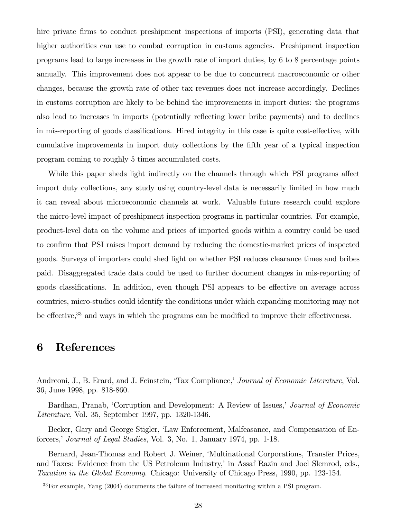hire private firms to conduct preshipment inspections of imports (PSI), generating data that higher authorities can use to combat corruption in customs agencies. Preshipment inspection programs lead to large increases in the growth rate of import duties, by 6 to 8 percentage points annually. This improvement does not appear to be due to concurrent macroeconomic or other changes, because the growth rate of other tax revenues does not increase accordingly. Declines in customs corruption are likely to be behind the improvements in import duties: the programs also lead to increases in imports (potentially reflecting lower bribe payments) and to declines in mis-reporting of goods classifications. Hired integrity in this case is quite cost-effective, with cumulative improvements in import duty collections by the Öfth year of a typical inspection program coming to roughly 5 times accumulated costs.

While this paper sheds light indirectly on the channels through which PSI programs affect import duty collections, any study using country-level data is necessarily limited in how much it can reveal about microeconomic channels at work. Valuable future research could explore the micro-level impact of preshipment inspection programs in particular countries. For example, product-level data on the volume and prices of imported goods within a country could be used to confirm that PSI raises import demand by reducing the domestic-market prices of inspected goods. Surveys of importers could shed light on whether PSI reduces clearance times and bribes paid. Disaggregated trade data could be used to further document changes in mis-reporting of goods classifications. In addition, even though PSI appears to be effective on average across countries, micro-studies could identify the conditions under which expanding monitoring may not be effective, $33$  and ways in which the programs can be modified to improve their effectiveness.

# 6 References

Andreoni, J., B. Erard, and J. Feinstein, 'Tax Compliance,' Journal of Economic Literature, Vol. 36, June 1998, pp. 818-860.

Bardhan, Pranab, 'Corruption and Development: A Review of Issues,' Journal of Economic Literature, Vol. 35, September 1997, pp. 1320-1346.

Becker, Gary and George Stigler, 'Law Enforcement, Malfeasance, and Compensation of Enforcers, *Journal of Legal Studies*, Vol. 3, No. 1, January 1974, pp. 1-18.

Bernard, Jean-Thomas and Robert J. Weiner, ëMultinational Corporations, Transfer Prices, and Taxes: Evidence from the US Petroleum Industry,' in Assaf Razin and Joel Slemrod, eds., Taxation in the Global Economy. Chicago: University of Chicago Press, 1990, pp. 123-154.

 $33$ For example, Yang (2004) documents the failure of increased monitoring within a PSI program.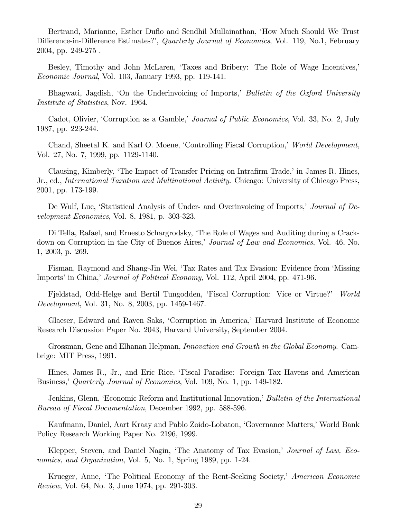Bertrand, Marianne, Esther Duflo and Sendhil Mullainathan, 'How Much Should We Trust Difference-in-Difference Estimates?', Quarterly Journal of Economics, Vol. 119, No.1, February 2004, pp. 249-275 .

Besley, Timothy and John McLaren, 'Taxes and Bribery: The Role of Wage Incentives,' Economic Journal, Vol. 103, January 1993, pp. 119-141.

Bhagwati, Jagdish, 'On the Underinvoicing of Imports,' Bulletin of the Oxford University Institute of Statistics, Nov. 1964.

Cadot, Olivier, 'Corruption as a Gamble,' Journal of Public Economics, Vol. 33, No. 2, July 1987, pp. 223-244.

Chand, Sheetal K. and Karl O. Moene, 'Controlling Fiscal Corruption,' World Development, Vol. 27, No. 7, 1999, pp. 1129-1140.

Clausing, Kimberly, 'The Impact of Transfer Pricing on Intrafirm Trade,' in James R. Hines, Jr., ed., International Taxation and Multinational Activity. Chicago: University of Chicago Press, 2001, pp. 173-199.

De Wulf, Luc, 'Statistical Analysis of Under- and Overinvoicing of Imports,' Journal of Development Economics, Vol. 8, 1981, p. 303-323.

Di Tella, Rafael, and Ernesto Schargrodsky, ëThe Role of Wages and Auditing during a Crackdown on Corruption in the City of Buenos Aires,' Journal of Law and Economics, Vol. 46, No. 1, 2003, p. 269.

Fisman, Raymond and Shang-Jin Wei, 'Tax Rates and Tax Evasion: Evidence from 'Missing Imports' in China,' Journal of Political Economy, Vol. 112, April 2004, pp. 471-96.

Fjeldstad, Odd-Helge and Bertil Tungodden, 'Fiscal Corruption: Vice or Virtue?' World Development, Vol. 31, No. 8, 2003, pp. 1459-1467.

Glaeser, Edward and Raven Saks, 'Corruption in America,' Harvard Institute of Economic Research Discussion Paper No. 2043, Harvard University, September 2004.

Grossman, Gene and Elhanan Helpman, Innovation and Growth in the Global Economy. Cambrige: MIT Press, 1991.

Hines, James R., Jr., and Eric Rice, ëFiscal Paradise: Foreign Tax Havens and American Business,<sup>†</sup> Quarterly Journal of Economics, Vol. 109, No. 1, pp. 149-182.

Jenkins, Glenn, 'Economic Reform and Institutional Innovation,' Bulletin of the International Bureau of Fiscal Documentation, December 1992, pp. 588-596.

Kaufmann, Daniel, Aart Kraay and Pablo Zoido-Lobaton, 'Governance Matters,' World Bank Policy Research Working Paper No. 2196, 1999.

Klepper, Steven, and Daniel Nagin, 'The Anatomy of Tax Evasion,' Journal of Law, Economics, and Organization, Vol. 5, No. 1, Spring 1989, pp. 1-24.

Krueger, Anne, The Political Economy of the Rent-Seeking Society, American Economic Review, Vol. 64, No. 3, June 1974, pp. 291-303.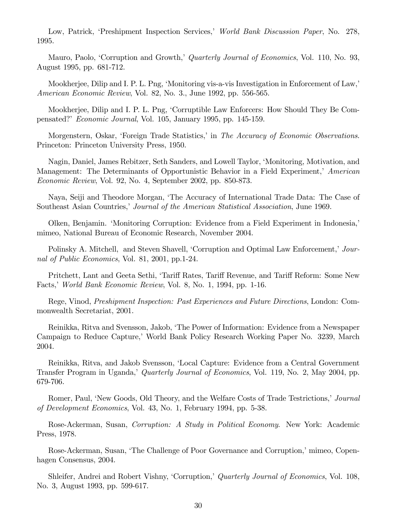Low, Patrick, 'Preshipment Inspection Services,' World Bank Discussion Paper, No. 278, 1995.

Mauro, Paolo, 'Corruption and Growth,' Quarterly Journal of Economics, Vol. 110, No. 93, August 1995, pp. 681-712.

Mookherjee, Dilip and I. P. L. Png, 'Monitoring vis-a-vis Investigation in Enforcement of Law,' American Economic Review, Vol. 82, No. 3., June 1992, pp. 556-565.

Mookherjee, Dilip and I. P. L. Png, 'Corruptible Law Enforcers: How Should They Be Compensated?' Economic Journal, Vol. 105, January 1995, pp. 145-159.

Morgenstern, Oskar, 'Foreign Trade Statistics,' in The Accuracy of Economic Observations. Princeton: Princeton University Press, 1950.

Nagin, Daniel, James Rebitzer, Seth Sanders, and Lowell Taylor, 'Monitoring, Motivation, and Management: The Determinants of Opportunistic Behavior in a Field Experiment, American Economic Review, Vol. 92, No. 4, September 2002, pp. 850-873.

Naya, Seiji and Theodore Morgan, ëThe Accuracy of International Trade Data: The Case of Southeast Asian Countries,*' Journal of the American Statistical Association*, June 1969.

Olken, Benjamin. 'Monitoring Corruption: Evidence from a Field Experiment in Indonesia, mimeo, National Bureau of Economic Research, November 2004.

Polinsky A. Mitchell, and Steven Shavell, 'Corruption and Optimal Law Enforcement,' Journal of Public Economics, Vol. 81, 2001, pp.1-24.

Pritchett, Lant and Geeta Sethi, 'Tariff Rates, Tariff Revenue, and Tariff Reform: Some New Facts,<sup>†</sup> World Bank Economic Review, Vol. 8, No. 1, 1994, pp. 1-16.

Rege, Vinod, Preshipment Inspection: Past Experiences and Future Directions, London: Commonwealth Secretariat, 2001.

Reinikka, Ritva and Svensson, Jakob, ëThe Power of Information: Evidence from a Newspaper Campaign to Reduce Capture,' World Bank Policy Research Working Paper No. 3239, March 2004.

Reinikka, Ritva, and Jakob Svensson, ëLocal Capture: Evidence from a Central Government Transfer Program in Uganda, Quarterly Journal of Economics, Vol. 119, No. 2, May 2004, pp. 679-706.

Romer, Paul, 'New Goods, Old Theory, and the Welfare Costs of Trade Testrictions,' Journal of Development Economics, Vol. 43, No. 1, February 1994, pp. 5-38.

Rose-Ackerman, Susan, Corruption: A Study in Political Economy. New York: Academic Press, 1978.

Rose-Ackerman, Susan, 'The Challenge of Poor Governance and Corruption,' mimeo, Copenhagen Consensus, 2004.

Shleifer, Andrei and Robert Vishny, 'Corruption,' Quarterly Journal of Economics, Vol. 108, No. 3, August 1993, pp. 599-617.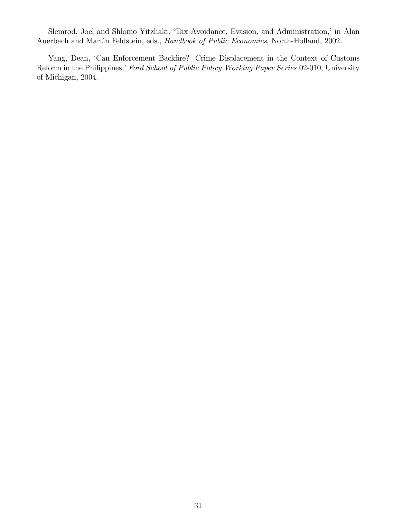Slemrod, Joel and Shlomo Yitzhaki, 'Tax Avoidance, Evasion, and Administration,' in Alan Auerbach and Martin Feldstein, eds., Handbook of Public Economics, North-Holland, 2002.

Yang, Dean, 'Can Enforcement Backfire? Crime Displacement in the Context of Customs Reform in the Philippines,' Ford School of Public Policy Working Paper Series 02-010, University of Michigan, 2004.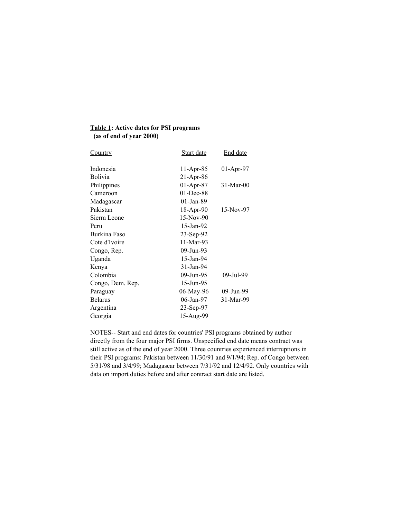#### **Table 1: Active dates for PSI programs (as of end of year 2000)**

| Country          | <u>Start date</u> | <b>End date</b> |
|------------------|-------------------|-----------------|
| Indonesia        | $11-Apr-85$       | 01-Apr-97       |
| Bolivia          | $21-Apr-86$       |                 |
| Philippines      | $01-Apr-87$       | $31-Mar-00$     |
| Cameroon         | $01$ -Dec-88      |                 |
| Madagascar       | 01-Jan-89         |                 |
| Pakistan         | 18-Apr-90         | 15-Nov-97       |
| Sierra Leone     | 15-Nov-90         |                 |
| Peru             | 15-Jan-92         |                 |
| Burkina Faso     | 23-Sep-92         |                 |
| Cote d'Ivoire    | 11-Mar-93         |                 |
| Congo, Rep.      | 09-Jun-93         |                 |
| Uganda           | 15-Jan-94         |                 |
| Kenya            | 31-Jan-94         |                 |
| Colombia         | 09-Jun-95         | 09-Jul-99       |
| Congo, Dem. Rep. | 15-Jun-95         |                 |
| Paraguay         | 06-May-96         | 09-Jun-99       |
| <b>Belarus</b>   | 06-Jan-97         | 31-Mar-99       |
| Argentina        | 23-Sep-97         |                 |
| Georgia          | 15-Aug-99         |                 |

NOTES-- Start and end dates for countries' PSI programs obtained by author directly from the four major PSI firms. Unspecified end date means contract was still active as of the end of year 2000. Three countries experienced interruptions in their PSI programs: Pakistan between 11/30/91 and 9/1/94; Rep. of Congo between 5/31/98 and 3/4/99; Madagascar between 7/31/92 and 12/4/92. Only countries with data on import duties before and after contract start date are listed.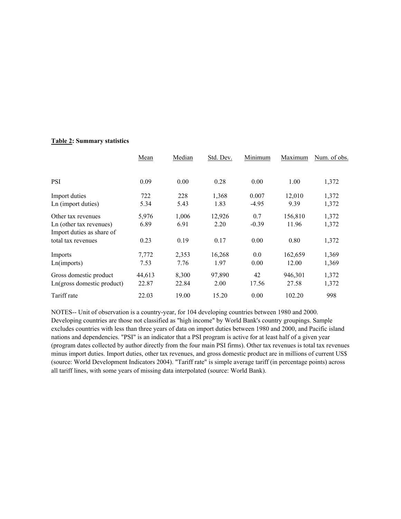#### **Table 2: Summary statistics**

|                                                      | Mean   | Median | Std. Dev. | Minimum | <u>Maximum</u> | Num. of obs. |
|------------------------------------------------------|--------|--------|-----------|---------|----------------|--------------|
| <b>PSI</b>                                           | 0.09   | 0.00   | 0.28      | 0.00    | 1.00           | 1,372        |
| Import duties                                        | 722    | 228    | 1,368     | 0.007   | 12,010         | 1,372        |
| Ln (import duties)                                   | 5.34   | 5.43   | 1.83      | $-4.95$ | 9.39           | 1,372        |
| Other tax revenues                                   | 5,976  | 1,006  | 12,926    | 0.7     | 156,810        | 1,372        |
| Ln (other tax revenues)<br>Import duties as share of | 6.89   | 6.91   | 2.20      | $-0.39$ | 11.96          | 1,372        |
| total tax revenues                                   | 0.23   | 0.19   | 0.17      | 0.00    | 0.80           | 1,372        |
| Imports                                              | 7,772  | 2,353  | 16,268    | 0.0     | 162,659        | 1,369        |
| Ln(imports)                                          | 7.53   | 7.76   | 1.97      | 0.00    | 12.00          | 1,369        |
| Gross domestic product                               | 44,613 | 8,300  | 97,890    | 42      | 946,301        | 1,372        |
| Ln(gross domestic product)                           | 22.87  | 22.84  | 2.00      | 17.56   | 27.58          | 1,372        |
| Tariff rate                                          | 22.03  | 19.00  | 15.20     | 0.00    | 102.20         | 998          |

NOTES-- Unit of observation is a country-year, for 104 developing countries between 1980 and 2000. Developing countries are those not classified as "high income" by World Bank's country groupings. Sample excludes countries with less than three years of data on import duties between 1980 and 2000, and Pacific island nations and dependencies. "PSI" is an indicator that a PSI program is active for at least half of a given year (program dates collected by author directly from the four main PSI firms). Other tax revenues is total tax revenues minus import duties. Import duties, other tax revenues, and gross domestic product are in millions of current US\$ (source: World Development Indicators 2004). "Tariff rate" is simple average tariff (in percentage points) across all tariff lines, with some years of missing data interpolated (source: World Bank).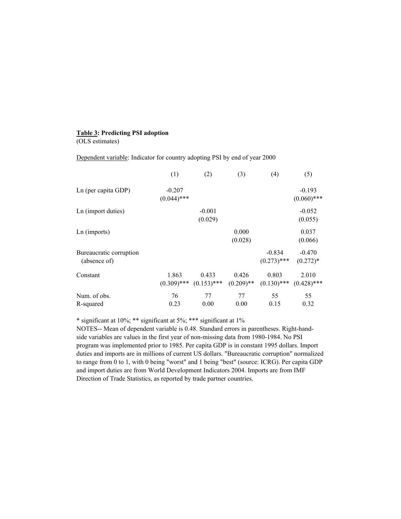#### **Table 3: Predicting PSI adoption**

(OLS estimates)

Dependent variable: Indicator for country adopting PSI by end of year 2000

|                                         | (1)                       | (2)                    | (3)                   | (4)                       | (5)                       |
|-----------------------------------------|---------------------------|------------------------|-----------------------|---------------------------|---------------------------|
| Ln (per capita GDP)                     | $-0.207$<br>$(0.044)$ *** |                        |                       |                           | $-0.193$<br>$(0.060)$ *** |
| Ln (import duties)                      |                           | $-0.001$<br>(0.029)    |                       |                           | $-0.052$<br>(0.055)       |
| Ln (imports)                            |                           |                        | 0.000<br>(0.028)      |                           | 0.037<br>(0.066)          |
| Bureaucratic corruption<br>(absence of) |                           |                        |                       | $-0.834$<br>$(0.273)$ *** | $-0.470$<br>$(0.272)*$    |
| Constant                                | 1.863<br>$(0.309)$ ***    | 0.433<br>$(0.153)$ *** | 0.426<br>$(0.209)$ ** | 0.803<br>$(0.130)$ ***    | 2.010<br>$(0.428)$ ***    |
| Num. of obs.<br>R-squared               | 76<br>0.23                | 77<br>0.00             | 77<br>0.00            | 55<br>0.15                | 55<br>0.32                |

\* significant at 10%; \*\* significant at 5%; \*\*\* significant at 1%

NOTES-- Mean of dependent variable is 0.48. Standard errors in parentheses. Right-handside variables are values in the first year of non-missing data from 1980-1984. No PSI program was implemented prior to 1985. Per capita GDP is in constant 1995 dollars. Import duties and imports are in millions of current US dollars. "Bureaucratic corruption" normalized to range from 0 to 1, with 0 being "worst" and 1 being "best" (source: ICRG). Per capita GDP and import duties are from World Development Indicators 2004. Imports are from IMF Direction of Trade Statistics, as reported by trade partner countries.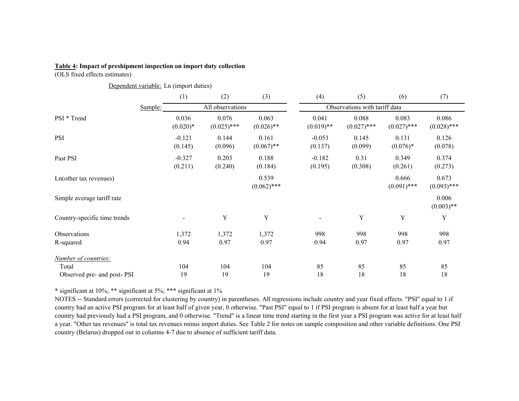#### **Table 4: Impact of preshipment inspection on import duty collection**

(OLS fixed effects estimates)

|                                                                    |         | (1)                 | (2)                    | (3)                    | (4)                   | (5)                           | (6)                    | (7)                    |
|--------------------------------------------------------------------|---------|---------------------|------------------------|------------------------|-----------------------|-------------------------------|------------------------|------------------------|
|                                                                    | Sample: |                     | All observations       |                        |                       | Observations with tariff data |                        |                        |
| PSI * Trend                                                        |         | 0.036<br>$(0.020)*$ | 0.076<br>$(0.025)$ *** | 0.063<br>$(0.026)$ **  | 0.041<br>$(0.019)$ ** | 0.088<br>$(0.027)$ ***        | 0.083<br>$(0.027)$ *** | 0.086<br>$(0.028)$ *** |
| <b>PSI</b>                                                         |         | $-0.121$<br>(0.145) | 0.144<br>(0.096)       | 0.161<br>$(0.067)$ **  | $-0.053$<br>(0.137)   | 0.145<br>(0.099)              | 0.131<br>$(0.076)*$    | 0.126<br>(0.078)       |
| Past PSI                                                           |         | $-0.327$<br>(0.211) | 0.203<br>(0.240)       | 0.188<br>(0.184)       | $-0.182$<br>(0.195)   | 0.31<br>(0.308)               | 0.349<br>(0.261)       | 0.374<br>(0.273)       |
| Ln(other tax revenues)                                             |         |                     |                        | 0.539<br>$(0.062)$ *** |                       |                               | 0.666<br>$(0.091)$ *** | 0.673<br>$(0.093)$ *** |
| Simple average tariff rate                                         |         |                     |                        |                        |                       |                               |                        | 0.006<br>$(0.003)$ **  |
| Country-specific time trends                                       |         |                     | Y                      | Y                      |                       | Y                             | Y                      | Y                      |
| Observations<br>R-squared                                          |         | 1,372<br>0.94       | 1,372<br>0.97          | 1,372<br>0.97          | 998<br>0.94           | 998<br>0.97                   | 998<br>0.97            | 998<br>0.97            |
| <b>Number of countries:</b><br>Total<br>Observed pre- and post-PSI |         | 104<br>19           | 104<br>19              | 104<br>19              | 85<br>18              | 85<br>18                      | 85<br>18               | 85<br>18               |

Dependent variable: Ln (import duties)

\* significant at 10%; \*\* significant at 5%; \*\*\* significant at 1%

NOTES -- Standard errors (corrected for clustering by country) in parentheses. All regressions include country and year fixed effects. "PSI" equal to 1 if country had an active PSI program for at least half of given year, 0 otherwise. "Past PSI" equal to 1 if PSI program is absent for at least half a year but country had previously had a PSI program, and 0 otherwise. "Trend" is a linear time trend starting in the first year a PSI program was active for at least half a year. "Other tax revenues" is total tax revenues minus import duties. See Table 2 for notes on sample composition and other variable definitions. One PSI country (Belarus) dropped out in columns 4-7 due to absence of sufficient tariff data.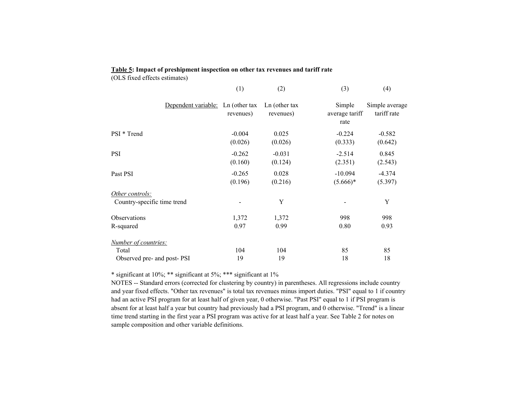#### **Table 5: Impact of preshipment inspection on other tax revenues and tariff rate**

(OLS fixed effects estimates)

|                                                | (1)                                            | (2)                        | (3)                              | (4)                           |
|------------------------------------------------|------------------------------------------------|----------------------------|----------------------------------|-------------------------------|
|                                                | Dependent variable: Ln (other tax<br>revenues) | Ln (other tax<br>revenues) | Simple<br>average tariff<br>rate | Simple average<br>tariff rate |
| PSI * Trend                                    | $-0.004$<br>(0.026)                            | 0.025<br>(0.026)           | $-0.224$<br>(0.333)              | $-0.582$<br>(0.642)           |
| PSI                                            | $-0.262$<br>(0.160)                            | $-0.031$<br>(0.124)        | $-2.514$<br>(2.351)              | 0.845<br>(2.543)              |
| Past PSI                                       | $-0.265$<br>(0.196)                            | 0.028<br>(0.216)           | $-10.094$<br>$(5.666)*$          | $-4.374$<br>(5.397)           |
| Other controls:<br>Country-specific time trend |                                                | Y                          |                                  | Y                             |
| Observations                                   | 1,372                                          | 1,372                      | 998                              | 998                           |
| R-squared                                      | 0.97                                           | 0.99                       | 0.80                             | 0.93                          |
| <b>Number of countries:</b>                    |                                                |                            |                                  |                               |
| Total                                          | 104                                            | 104                        | 85                               | 85                            |
| Observed pre- and post-PSI                     | 19                                             | 19                         | 18                               | 18                            |

\* significant at 10%; \*\* significant at 5%; \*\*\* significant at 1%

NOTES -- Standard errors (corrected for clustering by country) in parentheses. All regressions include country and year fixed effects. "Other tax revenues" is total tax revenues minus import duties. "PSI" equal to 1 if country had an active PSI program for at least half of given year, 0 otherwise. "Past PSI" equal to 1 if PSI program is absent for at least half a year but country had previously had a PSI program, and 0 otherwise. "Trend" is a linear time trend starting in the first year a PSI program was active for at least half a year. See Table 2 for notes on sample composition and other variable definitions.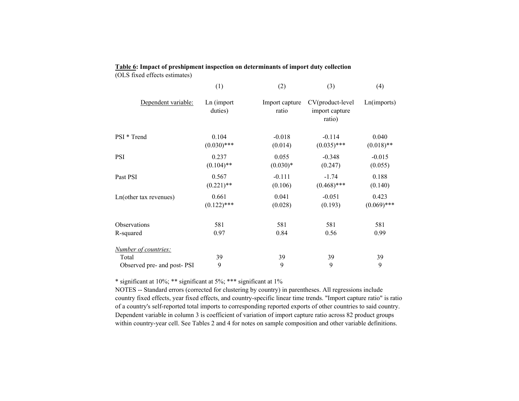# **Table 6: Impact of preshipment inspection on determinants of import duty collection**

(OLS fixed effects estimates)

|                             | (1)                    | (2)                     | (3)                                          | (4)                    |
|-----------------------------|------------------------|-------------------------|----------------------------------------------|------------------------|
| Dependent variable:         | Ln (import<br>duties)  | Import capture<br>ratio | CV(product-level<br>import capture<br>ratio) | Ln(imports)            |
| PSI * Trend                 | 0.104<br>$(0.030)$ *** | $-0.018$<br>(0.014)     | $-0.114$<br>$(0.035)$ ***                    | 0.040<br>$(0.018)$ **  |
| <b>PSI</b>                  | 0.237<br>$(0.104)$ **  | 0.055<br>$(0.030)*$     | $-0.348$<br>(0.247)                          | $-0.015$<br>(0.055)    |
| Past PSI                    | 0.567<br>$(0.221)$ **  | $-0.111$<br>(0.106)     | $-1.74$<br>$(0.468)$ ***                     | 0.188<br>(0.140)       |
| Ln(other tax revenues)      | 0.661<br>$(0.122)$ *** | 0.041<br>(0.028)        | $-0.051$<br>(0.193)                          | 0.423<br>$(0.069)$ *** |
| Observations                | 581                    | 581                     | 581                                          | 581                    |
| R-squared                   | 0.97                   | 0.84                    | 0.56                                         | 0.99                   |
| <b>Number of countries:</b> |                        |                         |                                              |                        |
| Total                       | 39                     | 39                      | 39                                           | 39                     |
| Observed pre- and post-PSI  | 9                      | 9                       | 9                                            | 9                      |

\* significant at 10%; \*\* significant at 5%; \*\*\* significant at 1%

NOTES -- Standard errors (corrected for clustering by country) in parentheses. All regressions include country fixed effects, year fixed effects, and country-specific linear time trends. "Import capture ratio" is ratio of a country's self-reported total imports to corresponding reported exports of other countries to said country. Dependent variable in column 3 is coefficient of variation of import capture ratio across 82 product groups within country-year cell. See Tables 2 and 4 for notes on sample composition and other variable definitions.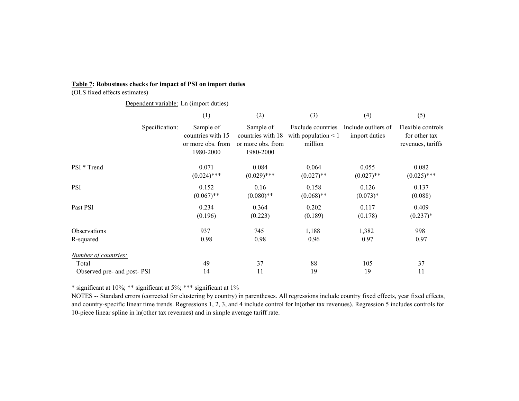#### **Table 7: Robustness checks for impact of PSI on import duties**

(OLS fixed effects estimates)

Dependent variable: Ln (import duties)

|                            |                | (1)                                                              | (2)                                                              | (3)                                                      | (4)                                  | (5)                                                     |
|----------------------------|----------------|------------------------------------------------------------------|------------------------------------------------------------------|----------------------------------------------------------|--------------------------------------|---------------------------------------------------------|
|                            | Specification: | Sample of<br>countries with 15<br>or more obs. from<br>1980-2000 | Sample of<br>countries with 18<br>or more obs. from<br>1980-2000 | Exclude countries<br>with population $\leq 1$<br>million | Include outliers of<br>import duties | Flexible controls<br>for other tax<br>revenues, tariffs |
| PSI * Trend                |                | 0.071<br>$(0.024)$ ***                                           | 0.084<br>$(0.029)$ ***                                           | 0.064<br>$(0.027)$ **                                    | 0.055<br>$(0.027)$ **                | 0.082<br>$(0.025)$ ***                                  |
| PSI                        |                | 0.152<br>$(0.067)$ **                                            | 0.16<br>$(0.080)$ **                                             | 0.158<br>$(0.068)$ **                                    | 0.126<br>$(0.073)*$                  | 0.137<br>(0.088)                                        |
| Past PSI                   |                | 0.234<br>(0.196)                                                 | 0.364<br>(0.223)                                                 | 0.202<br>(0.189)                                         | 0.117<br>(0.178)                     | 0.409<br>$(0.237)*$                                     |
| Observations               |                | 937                                                              | 745                                                              | 1,188                                                    | 1,382                                | 998                                                     |
| R-squared                  |                | 0.98                                                             | 0.98                                                             | 0.96                                                     | 0.97                                 | 0.97                                                    |
| Number of countries:       |                |                                                                  |                                                                  |                                                          |                                      |                                                         |
| Total                      |                | 49                                                               | 37                                                               | 88                                                       | 105                                  | 37                                                      |
| Observed pre- and post-PSI |                | 14                                                               | 11                                                               | 19                                                       | 19                                   | 11                                                      |

\* significant at 10%; \*\* significant at 5%; \*\*\* significant at 1%

NOTES -- Standard errors (corrected for clustering by country) in parentheses. All regressions include country fixed effects, year fixed effects, and country-specific linear time trends. Regressions 1, 2, 3, and 4 include control for ln(other tax revenues). Regression 5 includes controls for 10-piece linear spline in ln(other tax revenues) and in simple average tariff rate.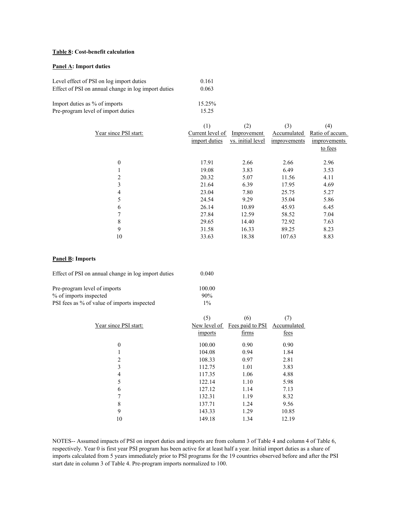#### **Table 8: Cost-benefit calculation**

#### **Panel A: Import duties**

| Level effect of PSI on log import duties<br>Effect of PSI on annual change in log import duties | 0.161<br>0.063 |
|-------------------------------------------------------------------------------------------------|----------------|
| Import duties as % of imports                                                                   | 15.25%         |
| Pre-program level of import duties                                                              | 15.25          |

|                       | (1)              | (2)               | (3)          | (4)             |
|-----------------------|------------------|-------------------|--------------|-----------------|
| Year since PSI start: | Current level of | Improvement       | Accumulated  | Ratio of accum. |
|                       | import duties    | vs. initial level | improvements | improvements    |
|                       |                  |                   |              | to fees         |
|                       |                  |                   |              |                 |
| $\theta$              | 17.91            | 2.66              | 2.66         | 2.96            |
| 1                     | 19.08            | 3.83              | 6.49         | 3.53            |
| $\overline{2}$        | 20.32            | 5.07              | 11.56        | 4.11            |
| 3                     | 21.64            | 6.39              | 17.95        | 4.69            |
| 4                     | 23.04            | 7.80              | 25.75        | 5.27            |
| 5                     | 24.54            | 9.29              | 35.04        | 5.86            |
| 6                     | 26.14            | 10.89             | 45.93        | 6.45            |
| 7                     | 27.84            | 12.59             | 58.52        | 7.04            |
| 8                     | 29.65            | 14.40             | 72.92        | 7.63            |
| 9                     | 31.58            | 16.33             | 89.25        | 8.23            |
| 10                    | 33.63            | 18.38             | 107.63       | 8.83            |
|                       |                  |                   |              |                 |

#### **Panel B: Imports**

| Effect of PSI on annual change in log import duties | 0.040  |  |
|-----------------------------------------------------|--------|--|
| Pre-program level of imports                        | 100.00 |  |
| % of imports inspected                              | 90%    |  |
| PSI fees as % of value of imports inspected         | $1\%$  |  |

|                       | (5)          | (6)              |             |
|-----------------------|--------------|------------------|-------------|
| Year since PSI start: | New level of | Fees paid to PSI | Accumulated |
|                       | imports      | firms            | fees        |
| $\mathbf{0}$          | 100.00       | 0.90             | 0.90        |
| 1                     | 104.08       | 0.94             | 1.84        |
| $\overline{2}$        | 108.33       | 0.97             | 2.81        |
| 3                     | 112.75       | 1.01             | 3.83        |
| 4                     | 117.35       | 1.06             | 4.88        |
| 5                     | 122.14       | 1.10             | 5.98        |
| 6                     | 127.12       | 1.14             | 7.13        |
| 7                     | 132.31       | 1.19             | 8.32        |
| 8                     | 137.71       | 1.24             | 9.56        |
| 9                     | 143.33       | 1.29             | 10.85       |
| 10                    | 149.18       | 1.34             | 12.19       |
|                       |              |                  |             |

NOTES-- Assumed impacts of PSI on import duties and imports are from column 3 of Table 4 and column 4 of Table 6, respectively. Year 0 is first year PSI program has been active for at least half a year. Initial import duties as a share of imports calculated from 5 years immediately prior to PSI programs for the 19 countries observed before and after the PSI start date in column 3 of Table 4. Pre-program imports normalized to 100.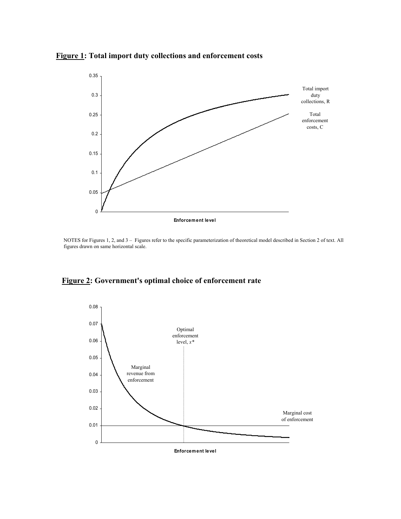

**Figure 1: Total import duty collections and enforcement costs**

NOTES for Figures 1, 2, and 3 – Figures refer to the specific parameterization of theoretical model described in Section 2 of text. All figures drawn on same horizontal scale.



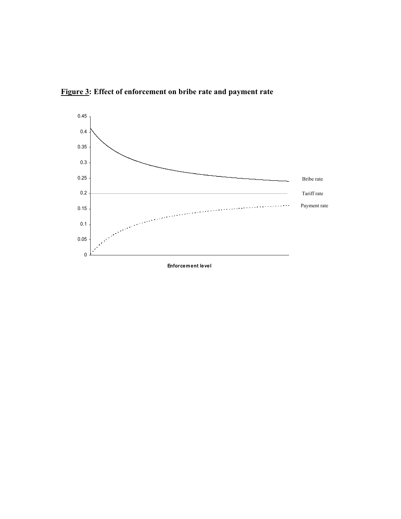

**Figure 3: Effect of enforcement on bribe rate and payment rate**